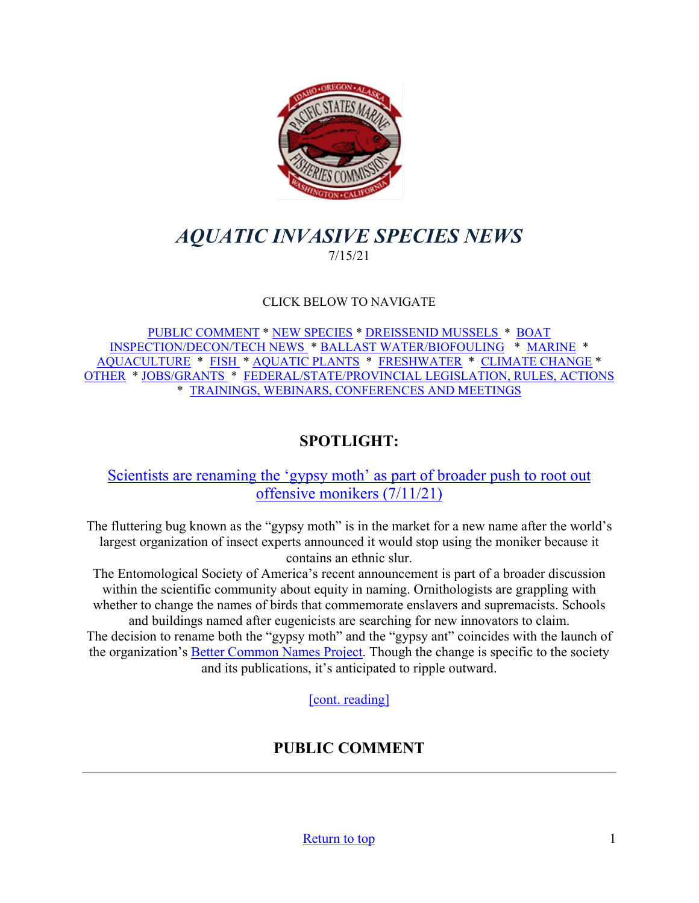

# <span id="page-0-0"></span>*AQUATIC INVASIVE SPECIES NEWS* 7/15/21

### CLICK BELOW TO NAVIGATE

[PUBLIC COMMENT](#page-0-1) \* [NEW SPECIES](#page-2-0) \* [DREISSENID MUSSELS](#page-4-0) \* [BOAT](#page-4-1)  [INSPECTION/DECON/TECH NEWS](#page-4-1) \* [BALLAST WATER/BIOFOULING](#page-6-0) \* [MARINE](#page-7-0) \* [AQUACULTURE](#page-8-0) \* [FISH](#page-8-1) \* [AQUATIC PLANTS](#page-9-0) \* [FRESHWATER](#page-10-0) \* [CLIMATE CHANGE](#page-10-1) \* [OTHER](#page-11-0) \* [JOBS/GRANTS](#page-13-0) \* [FEDERAL/STATE/PROVINCIAL LEGISLATION, RULES, ACTIONS](#page-18-0) \* [TRAININGS, WEBINARS, CONFERENCES AND MEETINGS](#page-25-0) 

## **SPOTLIGHT:**

## [Scientists are renaming the 'gypsy moth' as part of broader](https://www.washingtonpost.com/science/2021/07/11/entomologists-renaming-gypsy-moth-offensive/) push to root out [offensive monikers \(7/11/21\)](https://www.washingtonpost.com/science/2021/07/11/entomologists-renaming-gypsy-moth-offensive/)

The fluttering bug known as the "gypsy moth" is in the market for a new name after the world's largest organization of insect experts announced it would stop using the moniker because it contains an ethnic slur.

The Entomological Society of America's recent announcement is part of a broader discussion within the scientific community about equity in naming. Ornithologists are grappling with whether to change the names of birds that commemorate enslavers and supremacists. Schools

<span id="page-0-1"></span>and buildings named after eugenicists are searching for new innovators to claim. The decision to rename both the "gypsy moth" and the "gypsy ant" coincides with the launch of the organization's **Better Common Names Project**. Though the change is specific to the society and its publications, it's anticipated to ripple outward.

[\[cont. reading\]](https://www.washingtonpost.com/science/2021/07/11/entomologists-renaming-gypsy-moth-offensive/)

# **PUBLIC COMMENT**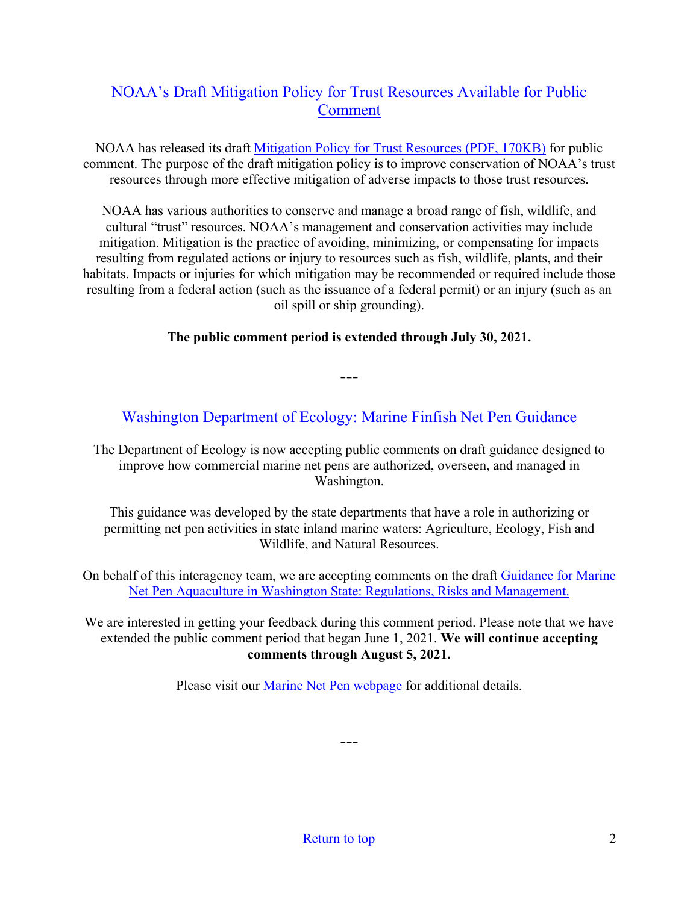## [NOAA's Draft Mitigation Policy for Trust Resources Available for Public](https://www.fisheries.noaa.gov/feature-story/noaas-draft-mitigation-policy-trust-resources-available-public-comment)  [Comment](https://www.fisheries.noaa.gov/feature-story/noaas-draft-mitigation-policy-trust-resources-available-public-comment)

NOAA has released its draft [Mitigation Policy for Trust Resources \(PDF, 170KB\)](https://media.fisheries.noaa.gov/2021-05/Draft%20NOAA%20Mitigation%20Policy%20for%20Trust%20Resources_508.pdf?null) for public comment. The purpose of the draft mitigation policy is to improve conservation of NOAA's trust resources through more effective mitigation of adverse impacts to those trust resources.

NOAA has various authorities to conserve and manage a broad range of fish, wildlife, and cultural "trust" resources. NOAA's management and conservation activities may include mitigation. Mitigation is the practice of avoiding, minimizing, or compensating for impacts resulting from regulated actions or injury to resources such as fish, wildlife, plants, and their habitats. Impacts or injuries for which mitigation may be recommended or required include those resulting from a federal action (such as the issuance of a federal permit) or an injury (such as an oil spill or ship grounding).

### **The public comment period is extended through July 30, 2021.**

---

[Washington Department of Ecology: Marine Finfish Net Pen Guidance](https://sea.ecology.commentinput.com/?id=mTReU)

The Department of Ecology is now accepting public comments on draft guidance designed to improve how commercial marine net pens are authorized, overseen, and managed in Washington.

This guidance was developed by the state departments that have a role in authorizing or permitting net pen activities in state inland marine waters: Agriculture, Ecology, Fish and Wildlife, and Natural Resources.

On behalf of this interagency team, we are accepting comments on the draft [Guidance for Marine](https://ecology.wa.gov/DOE/files/4a/4aa93ffc-e37b-427d-993c-3d12c7b94054.pdf)  [Net Pen Aquaculture in Washington State: Regulations, Risks and Management.](https://ecology.wa.gov/DOE/files/4a/4aa93ffc-e37b-427d-993c-3d12c7b94054.pdf)

We are interested in getting your feedback during this comment period. Please note that we have extended the public comment period that began June 1, 2021. **We will continue accepting comments through August 5, 2021.** 

Please visit our [Marine Net Pen webpage](https://ecology.wa.gov/Water-Shorelines/Shoreline-coastal-management/Aquaculture/State-guidance-for-net-pens) for additional details.

---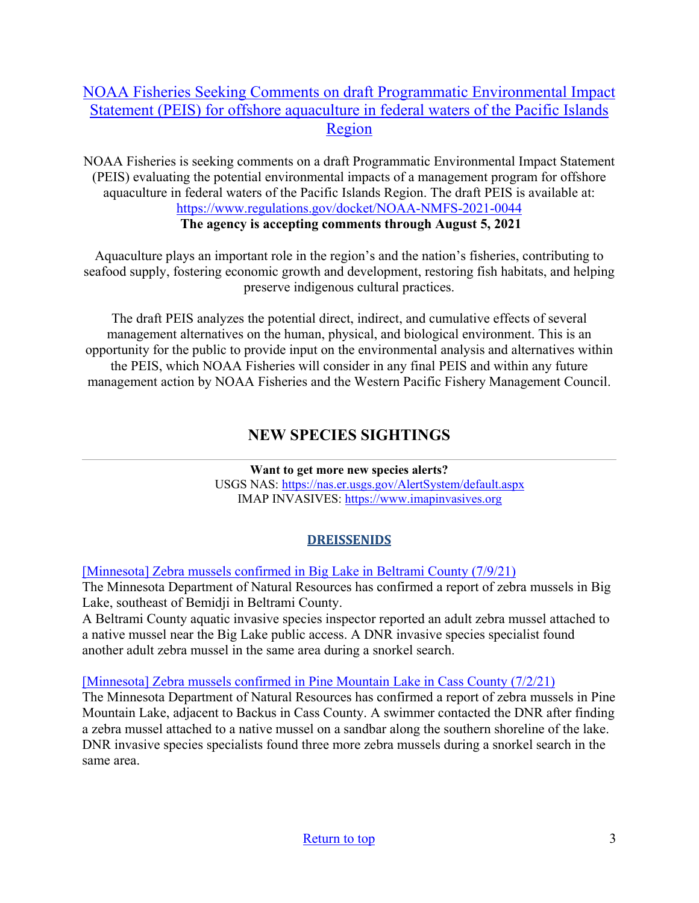## [NOAA Fisheries Seeking Comments on draft Programmatic Environmental Impact](https://www.regulations.gov/docket/NOAA-NMFS-2021-0044?utm_medium=email&utm_source=govdelivery)  [Statement \(PEIS\) for offshore aquaculture in federal waters of the Pacific Islands](https://www.regulations.gov/docket/NOAA-NMFS-2021-0044?utm_medium=email&utm_source=govdelivery)  [Region](https://www.regulations.gov/docket/NOAA-NMFS-2021-0044?utm_medium=email&utm_source=govdelivery)

NOAA Fisheries is seeking comments on a draft Programmatic Environmental Impact Statement (PEIS) evaluating the potential environmental impacts of a management program for offshore aquaculture in federal waters of the Pacific Islands Region. The draft PEIS is available at: <https://www.regulations.gov/docket/NOAA-NMFS-2021-0044> **The agency is accepting comments through August 5, 2021**

Aquaculture plays an important role in the region's and the nation's fisheries, contributing to seafood supply, fostering economic growth and development, restoring fish habitats, and helping preserve indigenous cultural practices.

<span id="page-2-0"></span>The draft PEIS analyzes the potential direct, indirect, and cumulative effects of several management alternatives on the human, physical, and biological environment. This is an opportunity for the public to provide input on the environmental analysis and alternatives within the PEIS, which NOAA Fisheries will consider in any final PEIS and within any future management action by NOAA Fisheries and the Western Pacific Fishery Management Council.

## **NEW SPECIES SIGHTINGS**

**Want to get more new species alerts?** USGS NAS:<https://nas.er.usgs.gov/AlertSystem/default.aspx> IMAP INVASIVES: [https://www.imapinvasives.org](https://www.imapinvasives.org/)

## **DREISSENIDS**

[\[Minnesota\] Zebra mussels confirmed in Big Lake in Beltrami County \(7/9/21\)](https://www.dnr.state.mn.us/news/2021/07/09/zebra-mussels-confirmed-big-lake-beltrami-county)

The Minnesota Department of Natural Resources has confirmed a report of zebra mussels in Big Lake, southeast of Bemidji in Beltrami County.

A Beltrami County aquatic invasive species inspector reported an adult zebra mussel attached to a native mussel near the Big Lake public access. A DNR invasive species specialist found another adult zebra mussel in the same area during a snorkel search.

## [\[Minnesota\] Zebra mussels confirmed in Pine Mountain Lake in Cass County \(7/2/21\)](https://www.dnr.state.mn.us/news/2021/07/02/zebra-mussels-confirmed-pine-mountain-lake-cass-county)

The Minnesota Department of Natural Resources has confirmed a report of zebra mussels in Pine Mountain Lake, adjacent to Backus in Cass County. A swimmer contacted the DNR after finding a zebra mussel attached to a native mussel on a sandbar along the southern shoreline of the lake. DNR invasive species specialists found three more zebra mussels during a snorkel search in the same area.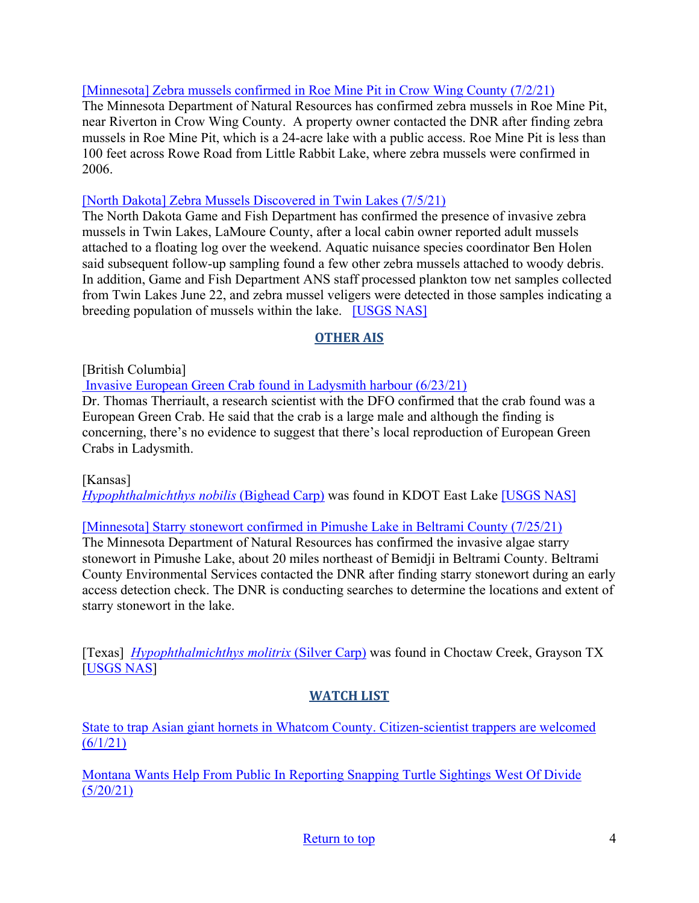### [\[Minnesota\] Zebra mussels confirmed in Roe Mine Pit in Crow Wing County \(7/2/21\)](https://www.dnr.state.mn.us/news/2021/07/02/zebra-mussels-confirmed-roe-mine-pit-crow-wing-county)

The Minnesota Department of Natural Resources has confirmed zebra mussels in Roe Mine Pit, near Riverton in Crow Wing County. A property owner contacted the DNR after finding zebra mussels in Roe Mine Pit, which is a 24-acre lake with a public access. Roe Mine Pit is less than 100 feet across Rowe Road from Little Rabbit Lake, where zebra mussels were confirmed in 2006.

### [\[North Dakota\] Zebra Mussels Discovered in Twin Lakes \(7/5/21\)](https://gf.nd.gov/news/4812)

The North Dakota Game and Fish Department has confirmed the presence of invasive zebra mussels in Twin Lakes, LaMoure County, after a local cabin owner reported adult mussels attached to a floating log over the weekend. Aquatic nuisance species coordinator Ben Holen said subsequent follow-up sampling found a few other zebra mussels attached to woody debris. In addition, Game and Fish Department ANS staff processed plankton tow net samples collected from Twin Lakes June 22, and zebra mussel veligers were detected in those samples indicating a breeding population of mussels within the lake. [\[USGS NAS\]](https://nas.er.usgs.gov/queries/specimenviewer.aspx?SpecimenID=1657994)

## **OTHER AIS**

[British Columbia]

 [Invasive European Green Crab found in Ladysmith harbour \(6/23/21\)](https://www.pqbnews.com/news/invasive-european-green-crab-found-in-ladysmith-harbour/)

Dr. Thomas Therriault, a research scientist with the DFO confirmed that the crab found was a European Green Crab. He said that the crab is a large male and although the finding is concerning, there's no evidence to suggest that there's local reproduction of European Green Crabs in Ladysmith.

[Kansas]

*[Hypophthalmichthys nobilis](https://nas.er.usgs.gov/queries/SpResults.aspx?SpeciesID=551)* (Bighead Carp) was found in KDOT East Lake [\[USGS NAS\]](https://nas.er.usgs.gov/queries/specimenviewer.aspx?SpecimenID=1657567)

## [\[Minnesota\] Starry stonewort confirmed in Pimushe Lake in Beltrami County \(7/25/21\)](https://www.dnr.state.mn.us/news/2021/06/25/starry-stonewort-confirmed-pimushe-lake-beltrami-county)

The Minnesota Department of Natural Resources has confirmed the invasive algae starry stonewort in Pimushe Lake, about 20 miles northeast of Bemidji in Beltrami County. Beltrami County Environmental Services contacted the DNR after finding starry stonewort during an early access detection check. The DNR is conducting searches to determine the locations and extent of starry stonewort in the lake.

[Texas] *[Hypophthalmichthys molitrix](https://nas.er.usgs.gov/queries/SpResults.aspx?SpeciesID=549)* (Silver Carp) was found in Choctaw Creek, Grayson TX [\[USGS NAS\]](https://nas.er.usgs.gov/queries/specimenviewer.aspx)

## **WATCH LIST**

[State to trap Asian giant hornets in Whatcom County. Citizen-scientist trappers are welcomed](https://www.bellinghamherald.com/news/local/article251762918.html#storylink=cpy)   $(6/1/21)$ 

[Montana Wants Help From Public In Reporting Snapping Turtle Sightings West Of Divide](https://www.cbbulletin.com/montana-wants-help-from-public-in-reporting-snapping-turtle-sightings-west-of-divide/)  [\(5/20/21\)](https://www.cbbulletin.com/montana-wants-help-from-public-in-reporting-snapping-turtle-sightings-west-of-divide/)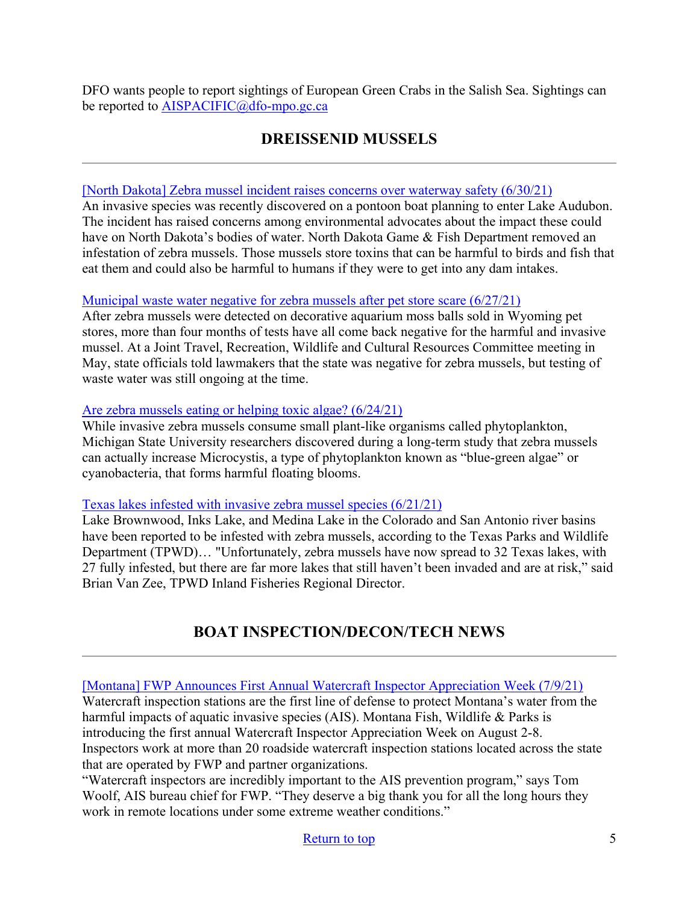<span id="page-4-0"></span>DFO wants people to report sightings of European Green Crabs in the Salish Sea. Sightings can be reported to [AISPACIFIC@dfo-mpo.gc.ca](mailto:AISPACIFIC@dfo-mpo.gc.ca)

## **DREISSENID MUSSELS**

### [\[North Dakota\] Zebra mussel incident raises concerns over waterway safety \(6/30/21\)](https://www.kfyrtv.com/2021/06/30/zebra-mussel-incident-raises-concerns-over-waterway-safety/)

An invasive species was recently discovered on a pontoon boat planning to enter Lake Audubon. The incident has raised concerns among environmental advocates about the impact these could have on North Dakota's bodies of water. North Dakota Game & Fish Department removed an infestation of zebra mussels. Those mussels store toxins that can be harmful to birds and fish that eat them and could also be harmful to humans if they were to get into any dam intakes.

#### [Municipal waste water negative for zebra mussels after pet store scare \(6/27/21\)](https://trib.com/news/state-and-regional/municipal-waste-water-negative-for-zebra-mussels-after-pet-store-scare/article_2c289084-e149-52e1-9028-7dfc056513a0.html)

After zebra mussels were detected on decorative aquarium moss balls sold in Wyoming pet stores, more than four months of tests have all come back negative for the harmful and invasive mussel. At a Joint Travel, Recreation, Wildlife and Cultural Resources Committee meeting in May, state officials told lawmakers that the state was negative for zebra mussels, but testing of waste water was still ongoing at the time.

### [Are zebra mussels eating or helping toxic algae? \(6/24/21\)](https://msutoday.msu.edu/news/2021/zebra-mussels-and-microcystis)

While invasive zebra mussels consume small plant-like organisms called phytoplankton, Michigan State University researchers discovered during a long-term study that zebra mussels can actually increase Microcystis, a type of phytoplankton known as "blue-green algae" or cyanobacteria, that forms harmful floating blooms.

#### [Texas lakes infested with invasive zebra mussel species \(6/21/21\)](https://ktxs.com/news/local/texas-lakes-becoming-infested-with-invasive-zebra-mussels-species)

Lake Brownwood, Inks Lake, and Medina Lake in the Colorado and San Antonio river basins have been reported to be infested with zebra mussels, according to the Texas Parks and Wildlife Department (TPWD)… "Unfortunately, zebra mussels have now spread to 32 Texas lakes, with 27 fully infested, but there are far more lakes that still haven't been invaded and are at risk," said Brian Van Zee, TPWD Inland Fisheries Regional Director.

# **BOAT INSPECTION/DECON/TECH NEWS**

<span id="page-4-1"></span>[\[Montana\] FWP Announces First Annual Watercraft Inspector Appreciation Week \(7/9/21\)](https://fwp.mt.gov/homepage/news/2021/july/0709-fwp-announces-first-annual-watercraft-inspector-appreciation-week)

Watercraft inspection stations are the first line of defense to protect Montana's water from the harmful impacts of aquatic invasive species (AIS). Montana Fish, Wildlife & Parks is introducing the first annual Watercraft Inspector Appreciation Week on August 2-8. Inspectors work at more than 20 roadside watercraft inspection stations located across the state that are operated by FWP and partner organizations.

"Watercraft inspectors are incredibly important to the AIS prevention program," says Tom Woolf, AIS bureau chief for FWP. "They deserve a big thank you for all the long hours they work in remote locations under some extreme weather conditions."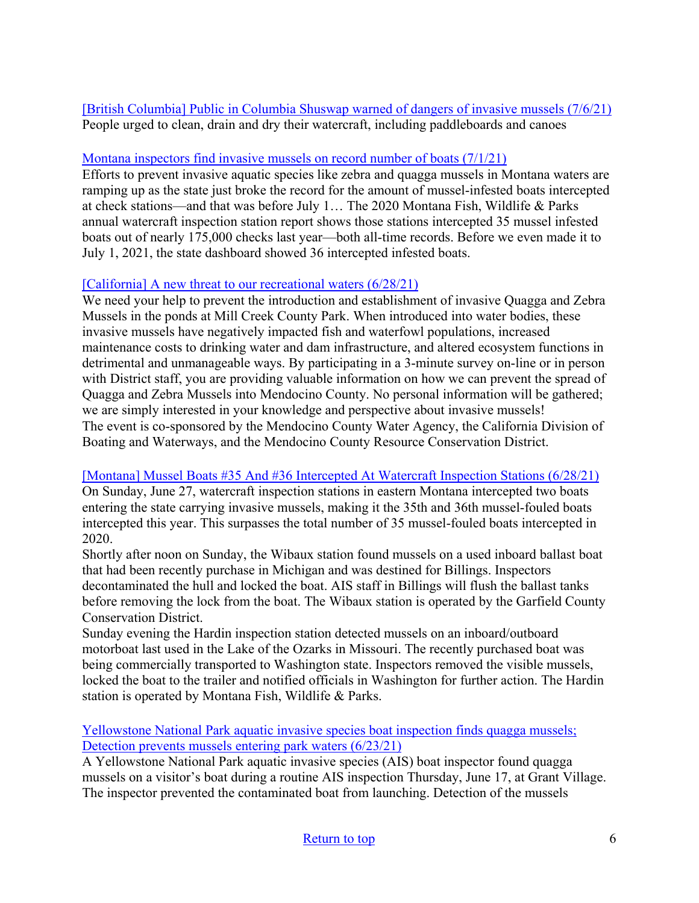[\[British Columbia\] Public in Columbia Shuswap warned of dangers of invasive mussels \(7/6/21\)](https://www.vernonmorningstar.com/news/public-in-columbia-shuswap-warned-of-dangers-of-invasive-mussels/) People urged to clean, drain and dry their watercraft, including paddleboards and canoes

### [Montana inspectors find invasive mussels on record number of boats \(7/1/21\)](https://nbcmontana.com/news/local/montana-inspectors-find-invasive-mussels-on-record-number-of-boats)

Efforts to prevent invasive aquatic species like zebra and quagga mussels in Montana waters are ramping up as the state just broke the record for the amount of mussel-infested boats intercepted at check stations—and that was before July 1… The 2020 Montana Fish, Wildlife & Parks annual watercraft inspection station report shows those stations intercepted 35 mussel infested boats out of nearly 175,000 checks last year—both all-time records. Before we even made it to July 1, 2021, the state dashboard showed 36 intercepted infested boats.

### [\[California\] A new threat to our recreational waters \(6/28/21\)](https://www.willitsnews.com/2021/06/28/a-new-threat-to-our-recreational-waters/)

We need your help to prevent the introduction and establishment of invasive Quagga and Zebra Mussels in the ponds at Mill Creek County Park. When introduced into water bodies, these invasive mussels have negatively impacted fish and waterfowl populations, increased maintenance costs to drinking water and dam infrastructure, and altered ecosystem functions in detrimental and unmanageable ways. By participating in a 3-minute survey on-line or in person with District staff, you are providing valuable information on how we can prevent the spread of Quagga and Zebra Mussels into Mendocino County. No personal information will be gathered; we are simply interested in your knowledge and perspective about invasive mussels! The event is co-sponsored by the Mendocino County Water Agency, the California Division of Boating and Waterways, and the Mendocino County Resource Conservation District.

### [\[Montana\] Mussel Boats #35 And #36 Intercepted At Watercraft Inspection Stations \(6/28/21\)](https://fwp.mt.gov/homepage/news/2021/june/0628-mussel-boats-35-and-36-intercepted-at-watercraft-inspection-stations)

On Sunday, June 27, watercraft inspection stations in eastern Montana intercepted two boats entering the state carrying invasive mussels, making it the 35th and 36th mussel-fouled boats intercepted this year. This surpasses the total number of 35 mussel-fouled boats intercepted in 2020.

Shortly after noon on Sunday, the Wibaux station found mussels on a used inboard ballast boat that had been recently purchase in Michigan and was destined for Billings. Inspectors decontaminated the hull and locked the boat. AIS staff in Billings will flush the ballast tanks before removing the lock from the boat. The Wibaux station is operated by the Garfield County Conservation District.

Sunday evening the Hardin inspection station detected mussels on an inboard/outboard motorboat last used in the Lake of the Ozarks in Missouri. The recently purchased boat was being commercially transported to Washington state. Inspectors removed the visible mussels, locked the boat to the trailer and notified officials in Washington for further action. The Hardin station is operated by Montana Fish, Wildlife & Parks.

[Yellowstone National Park aquatic invasive species boat inspection finds quagga mussels;](https://www.nps.gov/yell/learn/news/210623.htm)  [Detection prevents mussels entering park waters \(6/23/21\)](https://www.nps.gov/yell/learn/news/210623.htm)

A Yellowstone National Park aquatic invasive species (AIS) boat inspector found quagga mussels on a visitor's boat during a routine AIS inspection Thursday, June 17, at Grant Village. The inspector prevented the contaminated boat from launching. Detection of the mussels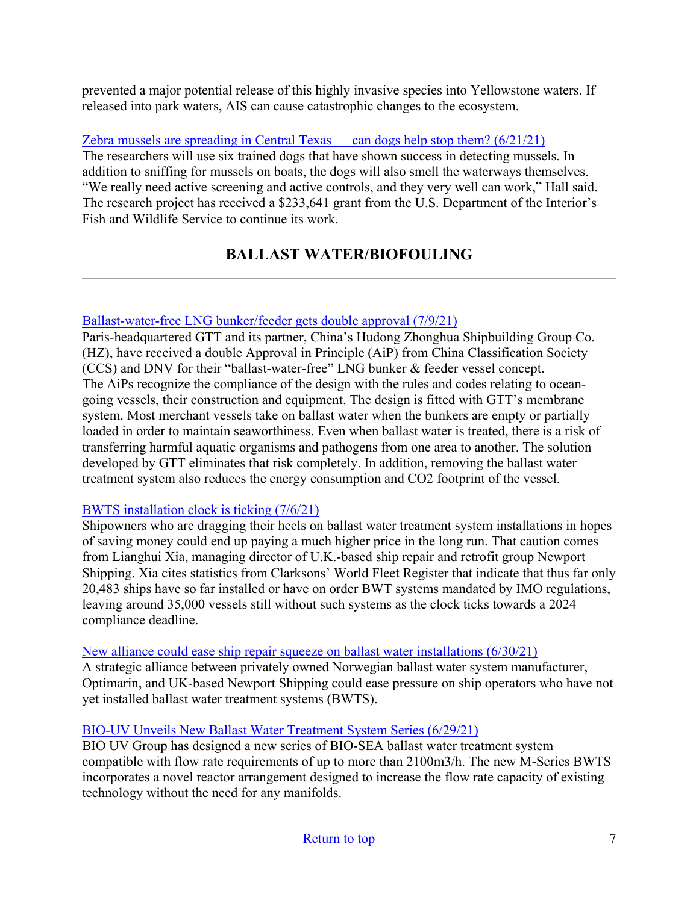prevented a major potential release of this highly invasive species into Yellowstone waters. If released into park waters, AIS can cause catastrophic changes to the ecosystem.

[Zebra mussels are spreading in Central Texas — can dogs help stop them? \(6/21/21\)](https://www.kxan.com/news/texas/zebra-mussels-are-spreading-in-central-texas-can-dogs-help-stop-them/)

The researchers will use six trained dogs that have shown success in detecting mussels. In addition to sniffing for mussels on boats, the dogs will also smell the waterways themselves. "We really need active screening and active controls, and they very well can work," Hall said. The research project has received a \$233,641 grant from the U.S. Department of the Interior's Fish and Wildlife Service to continue its work.

# **BALLAST WATER/BIOFOULING**

### <span id="page-6-0"></span>[Ballast-water-free LNG bunker/feeder gets double approval \(7/9/21\)](https://www.marinelog.com/technology/ballast-water-free-lng-bunker-feeder-gets-double-approval/)

Paris-headquartered GTT and its partner, China's Hudong Zhonghua Shipbuilding Group Co. (HZ), have received a double Approval in Principle (AiP) from China Classification Society (CCS) and DNV for their "ballast-water-free" LNG bunker & feeder vessel concept. The AiPs recognize the compliance of the design with the rules and codes relating to oceangoing vessels, their construction and equipment. The design is fitted with GTT's membrane system. Most merchant vessels take on ballast water when the bunkers are empty or partially loaded in order to maintain seaworthiness. Even when ballast water is treated, there is a risk of transferring harmful aquatic organisms and pathogens from one area to another. The solution developed by GTT eliminates that risk completely. In addition, removing the ballast water treatment system also reduces the energy consumption and CO2 footprint of the vessel.

### [BWTS installation clock is ticking \(7/6/21\)](https://www.marinelog.com/news/bwts-installation-clock-is-ticking/)

Shipowners who are dragging their heels on ballast water treatment system installations in hopes of saving money could end up paying a much higher price in the long run. That caution comes from Lianghui Xia, managing director of U.K.-based ship repair and retrofit group Newport Shipping. Xia cites statistics from Clarksons' World Fleet Register that indicate that thus far only 20,483 ships have so far installed or have on order BWT systems mandated by IMO regulations, leaving around 35,000 vessels still without such systems as the clock ticks towards a 2024 compliance deadline.

### [New alliance could ease ship repair squeeze on ballast water installations \(6/30/21\)](https://www.seatrade-maritime.com/shipyards/new-alliance-could-ease-shiprepair-squeeze-ballast-water-installations)

A strategic alliance between privately owned Norwegian ballast water system manufacturer, Optimarin, and UK-based Newport Shipping could ease pressure on ship operators who have not yet installed ballast water treatment systems (BWTS).

## [BIO-UV Unveils New Ballast Water Treatment System Series \(6/29/21\)](https://www.maritime-executive.com/corporate/bio-uv-unveils-new-ballast-water-treatment-system-series)

BIO UV Group has designed a new series of BIO-SEA ballast water treatment system compatible with flow rate requirements of up to more than 2100m3/h. The new M-Series BWTS incorporates a novel reactor arrangement designed to increase the flow rate capacity of existing technology without the need for any manifolds.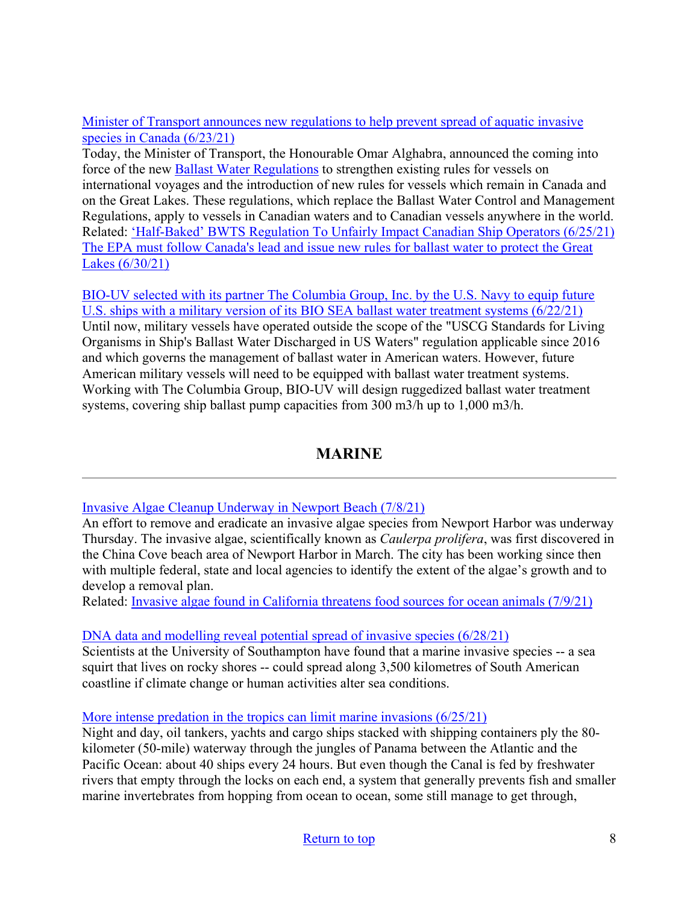[Minister of Transport announces new regulations to help prevent spread of aquatic invasive](https://www.canada.ca/en/transport-canada/news/2021/06/minister-of-transport-announces-new-regulations-to-help-prevent-spread-of-aquatic-invasive-species-in-canada.html)  [species in Canada \(6/23/21\)](https://www.canada.ca/en/transport-canada/news/2021/06/minister-of-transport-announces-new-regulations-to-help-prevent-spread-of-aquatic-invasive-species-in-canada.html)

Today, the Minister of Transport, the Honourable Omar Alghabra, announced the coming into force of the new [Ballast Water Regulations](https://gazette.gc.ca/rp-pr/p2/2021/2021-06-23/html/sor-dors120-eng.html) to strengthen existing rules for vessels on international voyages and the introduction of new rules for vessels which remain in Canada and on the Great Lakes. These regulations, which replace the Ballast Water Control and Management Regulations, apply to vessels in Canadian waters and to Canadian vessels anywhere in the world. Related: ['Half-Baked' BWTS Regulation To Unfairly Impact Canadian Ship Operators \(6/25/21\)](https://www.bunkerspot.com/americas/53567-americas-half-baked-bwts-regulation-to-unfairly-impact-canadian-ship-operators) [The EPA must follow Canada's lead and issue new rules for ballast water to protect the Great](https://thehill.com/blogs/congress-blog/energy-environment/561033-the-epa-must-follow-canadas-lead-and-issue-new-rules)  [Lakes \(6/30/21\)](https://thehill.com/blogs/congress-blog/energy-environment/561033-the-epa-must-follow-canadas-lead-and-issue-new-rules)

[BIO-UV selected with its partner The Columbia Group, Inc. by the U.S. Navy to equip future](https://www.marketscreener.com/quote/stock/BIO-UV-GROUP-44531648/news/Bio-uv-Group-nbsp-BIO-UV-selected-with-its-partner-The-Columbia-Group-Inc-by-the-U-S-Navy-t-35664157/)  [U.S. ships with a military version of its BIO SEA ballast water treatment systems \(6/22/21\)](https://www.marketscreener.com/quote/stock/BIO-UV-GROUP-44531648/news/Bio-uv-Group-nbsp-BIO-UV-selected-with-its-partner-The-Columbia-Group-Inc-by-the-U-S-Navy-t-35664157/) Until now, military vessels have operated outside the scope of the "USCG Standards for Living Organisms in Ship's Ballast Water Discharged in US Waters" regulation applicable since 2016 and which governs the management of ballast water in American waters. However, future American military vessels will need to be equipped with ballast water treatment systems. Working with The Columbia Group, BIO-UV will design ruggedized ballast water treatment systems, covering ship ballast pump capacities from 300 m3/h up to 1,000 m3/h.

## **MARINE**

## <span id="page-7-0"></span>[Invasive Algae Cleanup Underway in Newport Beach \(7/8/21\)](https://losangeles.cbslocal.com/2021/07/08/invasive-algae-cleanup-underway-in-newport-beach/)

An effort to remove and eradicate an invasive algae species from Newport Harbor was underway Thursday. The invasive algae, scientifically known as *Caulerpa prolifera*, was first discovered in the China Cove beach area of Newport Harbor in March. The city has been working since then with multiple federal, state and local agencies to identify the extent of the algae's growth and to develop a removal plan.

Related: [Invasive algae found in California threatens food sources for ocean animals \(7/9/21\)](https://thehill.com/changing-america/sustainability/environment/562236-invasive-algae-found-in-california-threatens-food)

## [DNA data and modelling reveal potential spread of invasive species \(6/28/21\)](https://www.sciencedaily.com/releases/2021/06/210628144827.htm)

Scientists at the University of Southampton have found that a marine invasive species -- a sea squirt that lives on rocky shores -- could spread along 3,500 kilometres of South American coastline if climate change or human activities alter sea conditions.

## [More intense predation in the tropics can limit marine invasions \(6/25/21\)](https://www.eurekalert.org/pub_releases/2021-06/stri-mip062521.php)

Night and day, oil tankers, yachts and cargo ships stacked with shipping containers ply the 80 kilometer (50-mile) waterway through the jungles of Panama between the Atlantic and the Pacific Ocean: about 40 ships every 24 hours. But even though the Canal is fed by freshwater rivers that empty through the locks on each end, a system that generally prevents fish and smaller marine invertebrates from hopping from ocean to ocean, some still manage to get through,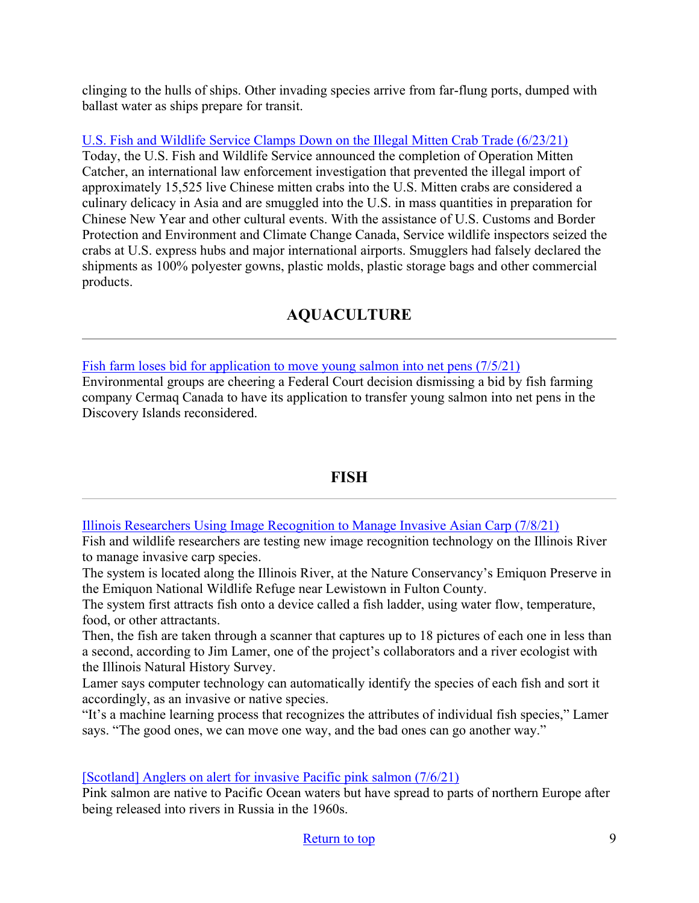clinging to the hulls of ships. Other invading species arrive from far-flung ports, dumped with ballast water as ships prepare for transit.

[U.S. Fish and Wildlife Service Clamps Down on the Illegal Mitten Crab Trade \(6/23/21\)](https://www.fws.gov/news/ShowNews.cfm?ref=us-fish-and-wildlife-service-clamps-down--on-the-illegal-mitten-crab-&_ID=36943)

Today, the U.S. Fish and Wildlife Service announced the completion of Operation Mitten Catcher, an international law enforcement investigation that prevented the illegal import of approximately 15,525 live Chinese mitten crabs into the U.S. Mitten crabs are considered a culinary delicacy in Asia and are smuggled into the U.S. in mass quantities in preparation for Chinese New Year and other cultural events. With the assistance of U.S. Customs and Border Protection and Environment and Climate Change Canada, Service wildlife inspectors seized the crabs at U.S. express hubs and major international airports. Smugglers had falsely declared the shipments as 100% polyester gowns, plastic molds, plastic storage bags and other commercial products.

# **AQUACULTURE**

<span id="page-8-0"></span>[Fish farm loses bid for application to move young salmon into net pens \(7/5/21\)](https://www.timescolonist.com/news/local/fish-farm-loses-bid-for-application-to-move-young-salmon-into-net-pens-1.24338872)

Environmental groups are cheering a Federal Court decision dismissing a bid by fish farming company Cermaq Canada to have its application to transfer young salmon into net pens in the Discovery Islands reconsidered.

## **FISH**

<span id="page-8-1"></span>[Illinois Researchers Using Image Recognition to Manage Invasive Asian Carp \(7/8/21\)](https://illinoisnewsroom.org/illinois-researchers-using-image-recognition-to-manage-invasive-asian-carp/)

Fish and wildlife researchers are testing new image recognition technology on the Illinois River to manage invasive carp species.

The system is located along the Illinois River, at the Nature Conservancy's Emiquon Preserve in the Emiquon National Wildlife Refuge near Lewistown in Fulton County.

The system first attracts fish onto a device called a fish ladder, using water flow, temperature, food, or other attractants.

Then, the fish are taken through a scanner that captures up to 18 pictures of each one in less than a second, according to Jim Lamer, one of the project's collaborators and a river ecologist with the Illinois Natural History Survey.

Lamer says computer technology can automatically identify the species of each fish and sort it accordingly, as an invasive or native species.

"It's a machine learning process that recognizes the attributes of individual fish species," Lamer says. "The good ones, we can move one way, and the bad ones can go another way."

[\[Scotland\] Anglers on alert for invasive Pacific pink salmon \(7/6/21\)](https://www.bbc.com/news/uk-scotland-highlands-islands-57733537)

Pink salmon are native to Pacific Ocean waters but have spread to parts of northern Europe after being released into rivers in Russia in the 1960s.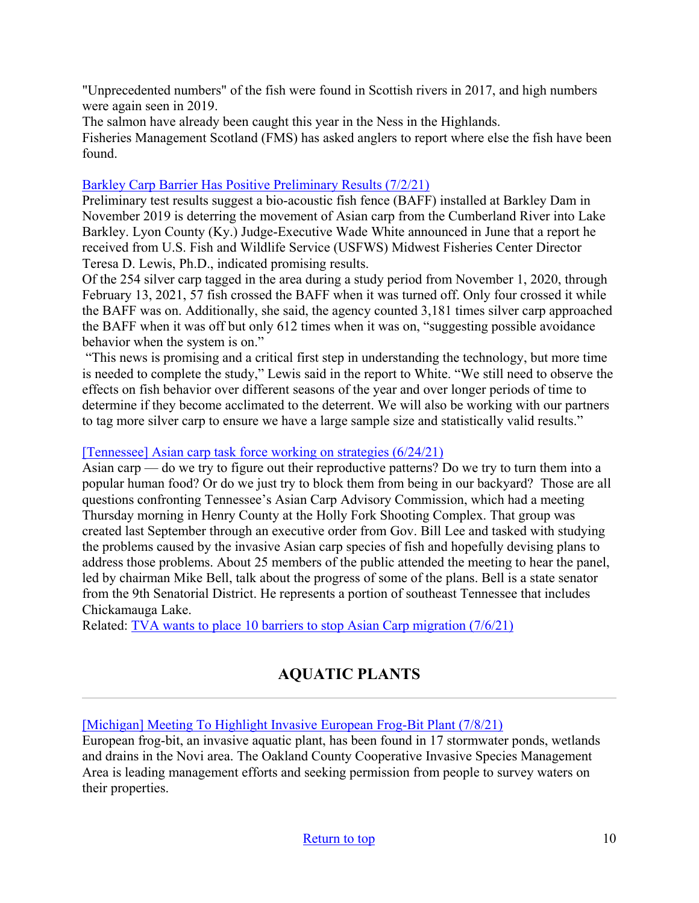"Unprecedented numbers" of the fish were found in Scottish rivers in 2017, and high numbers were again seen in 2019.

The salmon have already been caught this year in the Ness in the Highlands.

Fisheries Management Scotland (FMS) has asked anglers to report where else the fish have been found.

### [Barkley Carp Barrier Has Positive Preliminary Results \(7/2/21\)](https://www.waterwaysjournal.net/2021/07/02/barkley-carp-barrier-has-positive-preliminary-results/)

Preliminary test results suggest a bio-acoustic fish fence (BAFF) installed at Barkley Dam in November 2019 is deterring the movement of Asian carp from the Cumberland River into Lake Barkley. Lyon County (Ky.) Judge-Executive Wade White announced in June that a report he received from U.S. Fish and Wildlife Service (USFWS) Midwest Fisheries Center Director Teresa D. Lewis, Ph.D., indicated promising results.

Of the 254 silver carp tagged in the area during a study period from November 1, 2020, through February 13, 2021, 57 fish crossed the BAFF when it was turned off. Only four crossed it while the BAFF was on. Additionally, she said, the agency counted 3,181 times silver carp approached the BAFF when it was off but only 612 times when it was on, "suggesting possible avoidance behavior when the system is on."

"This news is promising and a critical first step in understanding the technology, but more time is needed to complete the study," Lewis said in the report to White. "We still need to observe the effects on fish behavior over different seasons of the year and over longer periods of time to determine if they become acclimated to the deterrent. We will also be working with our partners to tag more silver carp to ensure we have a large sample size and statistically valid results."

### [\[Tennessee\] Asian carp task force working on strategies \(6/24/21\)](https://www.parispi.net/news/local_news/article_31899a46-d52e-11eb-8bcf-3367a6b41eb2.html)

Asian carp — do we try to figure out their reproductive patterns? Do we try to turn them into a popular human food? Or do we just try to block them from being in our backyard? Those are all questions confronting Tennessee's Asian Carp Advisory Commission, which had a meeting Thursday morning in Henry County at the Holly Fork Shooting Complex. That group was created last September through an executive order from Gov. Bill Lee and tasked with studying the problems caused by the invasive Asian carp species of fish and hopefully devising plans to address those problems. About 25 members of the public attended the meeting to hear the panel, led by chairman Mike Bell, talk about the progress of some of the plans. Bell is a state senator from the 9th Senatorial District. He represents a portion of southeast Tennessee that includes Chickamauga Lake.

<span id="page-9-0"></span>Related: [TVA wants to place 10 barriers to stop Asian Carp migration \(7/6/21\)](https://www.wate.com/news/tennessee/tva-wants-to-put-10-to-stop-asian-carp-migration/)

# **AQUATIC PLANTS**

[\[Michigan\] Meeting To Highlight Invasive European Frog-Bit Plant \(7/8/21\)](https://www.whmi.com/news/article/surveys-meeting-european-frog-bit-invasive-species)

European frog-bit, an invasive aquatic plant, has been found in 17 stormwater ponds, wetlands and drains in the Novi area. The Oakland County Cooperative Invasive Species Management Area is leading management efforts and seeking permission from people to survey waters on their properties.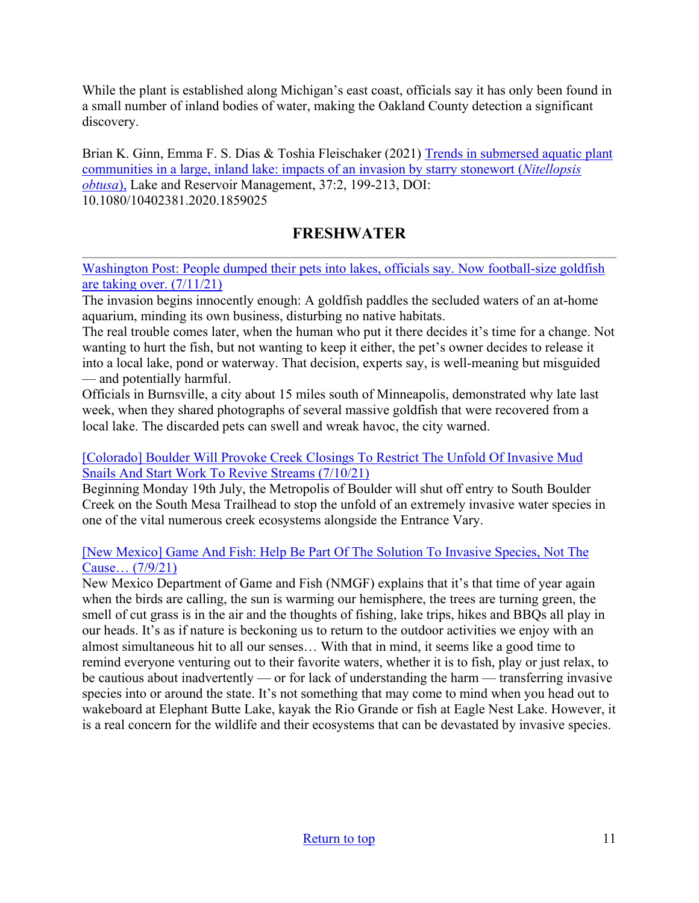While the plant is established along Michigan's east coast, officials say it has only been found in a small number of inland bodies of water, making the Oakland County detection a significant discovery.

Brian K. Ginn, Emma F. S. Dias & Toshia Fleischaker (2021) [Trends in submersed aquatic plant](https://www.tandfonline.com/doi/abs/10.1080/10402381.2020.1859025)  [communities in a large, inland lake: impacts of an invasion by starry stonewort \(](https://www.tandfonline.com/doi/abs/10.1080/10402381.2020.1859025)*Nitellopsis [obtusa](https://www.tandfonline.com/doi/abs/10.1080/10402381.2020.1859025)*), Lake and Reservoir Management, 37:2, 199-213, DOI: 10.1080/10402381.2020.1859025

## **FRESHWATER**

<span id="page-10-0"></span>[Washington Post: People dumped their pets into lakes, officials say. Now football-size goldfish](https://www.washingtonpost.com/science/2021/07/11/minnesota-goldfish-invasive/)  [are taking over. \(7/11/21\)](https://www.washingtonpost.com/science/2021/07/11/minnesota-goldfish-invasive/) 

The invasion begins innocently enough: A goldfish paddles the secluded waters of an at-home aquarium, minding its own business, disturbing no native habitats.

The real trouble comes later, when the human who put it there decides it's time for a change. Not wanting to hurt the fish, but not wanting to keep it either, the pet's owner decides to release it into a local lake, pond or waterway. That decision, experts say, is well-meaning but misguided — and potentially harmful.

Officials in Burnsville, a city about 15 miles south of Minneapolis, demonstrated why late last week, when they shared photographs of several massive goldfish that were recovered from a local lake. The discarded pets can swell and wreak havoc, the city warned.

### [\[Colorado\] Boulder Will Provoke Creek Closings To Restrict The Unfold Of Invasive Mud](https://dailycoloradonews.com/boulder-will-provoke-creek-closings-to-restrict-the-unfold-of-invasive-mud-snails-and-start-work-to-revive-streams/)  [Snails And Start Work To Revive Streams \(7/10/21\)](https://dailycoloradonews.com/boulder-will-provoke-creek-closings-to-restrict-the-unfold-of-invasive-mud-snails-and-start-work-to-revive-streams/)

Beginning Monday 19th July, the Metropolis of Boulder will shut off entry to South Boulder Creek on the South Mesa Trailhead to stop the unfold of an extremely invasive water species in one of the vital numerous creek ecosystems alongside the Entrance Vary.

### [\[New Mexico\] Game And Fish: Help Be Part Of The Solution To Invasive Species, Not The](https://ladailypost.com/game-and-fish-help-be-part-of-the-solution-to-invasive-species-not-the-cause/)  [Cause… \(7/9/21\)](https://ladailypost.com/game-and-fish-help-be-part-of-the-solution-to-invasive-species-not-the-cause/)

<span id="page-10-1"></span>New Mexico Department of Game and Fish (NMGF) explains that it's that time of year again when the birds are calling, the sun is warming our hemisphere, the trees are turning green, the smell of cut grass is in the air and the thoughts of fishing, lake trips, hikes and BBQs all play in our heads. It's as if nature is beckoning us to return to the outdoor activities we enjoy with an almost simultaneous hit to all our senses… With that in mind, it seems like a good time to remind everyone venturing out to their favorite waters, whether it is to fish, play or just relax, to be cautious about inadvertently — or for lack of understanding the harm — transferring invasive species into or around the state. It's not something that may come to mind when you head out to wakeboard at Elephant Butte Lake, kayak the Rio Grande or fish at Eagle Nest Lake. However, it is a real concern for the wildlife and their ecosystems that can be devastated by invasive species.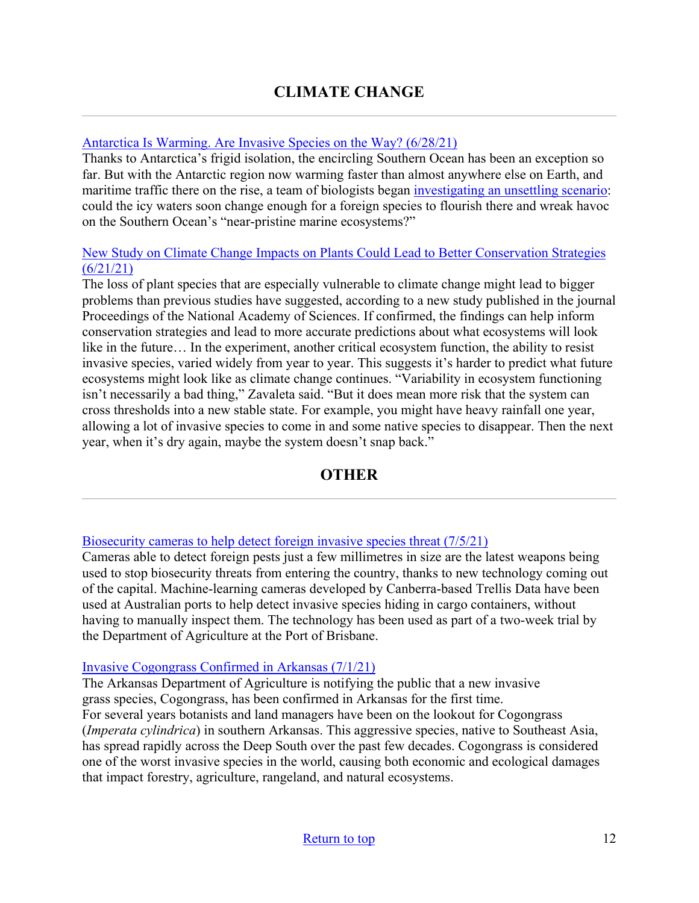## [Antarctica Is Warming. Are Invasive Species on the Way? \(6/28/21\)](https://daily.jstor.org/antarctica-is-warming-are-invasive-species-on-the-way/)

Thanks to Antarctica's frigid isolation, the encircling Southern Ocean has been an exception so far. But with the Antarctic region now warming faster than almost anywhere else on Earth, and maritime traffic there on the rise, a team of biologists began [investigating an unsettling scenario:](https://www.jstor.org/stable/27016897?mag=antarctica-is-warming-are-invasive-species-on-the-way#metadata_info_tab_contents) could the icy waters soon change enough for a foreign species to flourish there and wreak havoc on the Southern Ocean's "near-pristine marine ecosystems?"

#### [New Study on Climate Change Impacts on Plants Could Lead to Better Conservation Strategies](https://news.utexas.edu/2021/06/21/new-study-on-climate-change-impacts-on-plants-could-lead-to-better-conservation-strategies/)   $(6/21/21)$

The loss of plant species that are especially vulnerable to climate change might lead to bigger problems than previous studies have suggested, according to a new study published in the journal Proceedings of the National Academy of Sciences. If confirmed, the findings can help inform conservation strategies and lead to more accurate predictions about what ecosystems will look like in the future… In the experiment, another critical ecosystem function, the ability to resist invasive species, varied widely from year to year. This suggests it's harder to predict what future ecosystems might look like as climate change continues. "Variability in ecosystem functioning isn't necessarily a bad thing," Zavaleta said. "But it does mean more risk that the system can cross thresholds into a new stable state. For example, you might have heavy rainfall one year, allowing a lot of invasive species to come in and some native species to disappear. Then the next year, when it's dry again, maybe the system doesn't snap back."

## **OTHER**

#### <span id="page-11-0"></span>[Biosecurity cameras to help detect foreign invasive species threat \(7/5/21\)](https://www.canberratimes.com.au/story/7325475/new-eye-in-the-sky-to-detect-pest-threat/)

Cameras able to detect foreign pests just a few millimetres in size are the latest weapons being used to stop biosecurity threats from entering the country, thanks to new technology coming out of the capital. Machine-learning cameras developed by Canberra-based Trellis Data have been used at Australian ports to help detect invasive species hiding in cargo containers, without having to manually inspect them. The technology has been used as part of a two-week trial by the Department of Agriculture at the Port of Brisbane.

#### [Invasive Cogongrass Confirmed in Arkansas \(7/1/21\)](https://www.agriculture.arkansas.gov/wp-content/uploads/2021/07/Invasive-Cogongrass-Confirmed-in-Arkansas-Release.pdf)

The Arkansas Department of Agriculture is notifying the public that a new invasive grass species, Cogongrass, has been confirmed in Arkansas for the first time. For several years botanists and land managers have been on the lookout for Cogongrass (*Imperata cylindrica*) in southern Arkansas. This aggressive species, native to Southeast Asia, has spread rapidly across the Deep South over the past few decades. Cogongrass is considered one of the worst invasive species in the world, causing both economic and ecological damages that impact forestry, agriculture, rangeland, and natural ecosystems.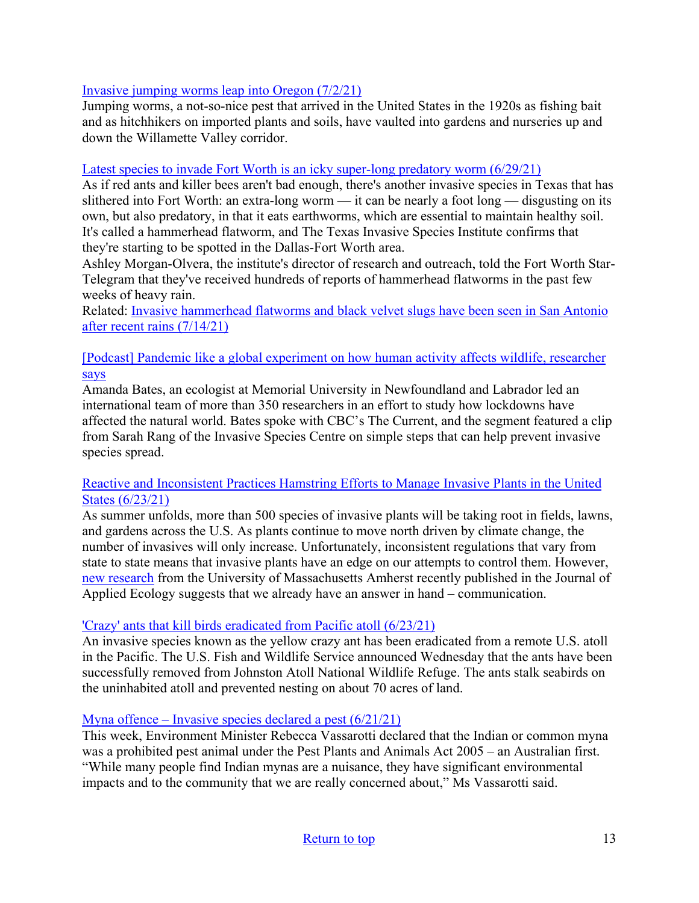### [Invasive jumping worms leap into Oregon \(7/2/21\)](https://today.oregonstate.edu/news/invasive-jumping-worms-leap-oregon)

Jumping worms, a not-so-nice pest that arrived in the United States in the 1920s as fishing bait and as hitchhikers on imported plants and soils, have vaulted into gardens and nurseries up and down the Willamette Valley corridor.

### [Latest species to invade Fort Worth is an icky super-long predatory worm \(6/29/21\)](https://fortworth.culturemap.com/news/city-life/06-29-21-hammerhead-worm-invasive-species-tarrant/)

As if red ants and killer bees aren't bad enough, there's another invasive species in Texas that has slithered into Fort Worth: an extra-long worm — it can be nearly a foot long — disgusting on its own, but also predatory, in that it eats earthworms, which are essential to maintain healthy soil. It's called a hammerhead flatworm, and The Texas Invasive Species Institute confirms that they're starting to be spotted in the Dallas-Fort Worth area.

Ashley Morgan-Olvera, the institute's director of research and outreach, told the Fort Worth Star-Telegram that they've received hundreds of reports of hammerhead flatworms in the past few weeks of heavy rain.

Related: [Invasive hammerhead flatworms and black velvet slugs have been seen in San Antonio](https://www.ksat.com/news/local/2021/07/14/invasive-hammerhead-flatworms-and-black-velvet-slugs-have-been-seen-in-san-antonio-after-recent-rains/)  [after recent rains \(7/14/21\)](https://www.ksat.com/news/local/2021/07/14/invasive-hammerhead-flatworms-and-black-velvet-slugs-have-been-seen-in-san-antonio-after-recent-rains/)

### [\[Podcast\] Pandemic like a global experiment on how human activity affects wildlife, researcher](https://www.invasivespeciescentre.ca/pandemic-like-a-global-experiment-on-how-human-activity-affects-wildlife-researcher-says/)  [says](https://www.invasivespeciescentre.ca/pandemic-like-a-global-experiment-on-how-human-activity-affects-wildlife-researcher-says/)

Amanda Bates, an ecologist at Memorial University in Newfoundland and Labrador led an international team of more than 350 researchers in an effort to study how lockdowns have affected the natural world. Bates spoke with CBC's The Current, and the segment featured a clip from Sarah Rang of the Invasive Species Centre on simple steps that can help prevent invasive species spread.

### [Reactive and Inconsistent Practices Hamstring Efforts to Manage Invasive Plants in the United](https://www.umass.edu/news/article/reactive-and-inconsistent-practices-hamstring-efforts-manage-invasive-plants-united)  [States \(6/23/21\)](https://www.umass.edu/news/article/reactive-and-inconsistent-practices-hamstring-efforts-manage-invasive-plants-united)

As summer unfolds, more than 500 species of invasive plants will be taking root in fields, lawns, and gardens across the U.S. As plants continue to move north driven by climate change, the number of invasives will only increase. Unfortunately, inconsistent regulations that vary from state to state means that invasive plants have an edge on our attempts to control them. However, [new research](https://besjournals.onlinelibrary.wiley.com/doi/epdf/10.1111/1365-2664.13934) from the University of Massachusetts Amherst recently published in the Journal of Applied Ecology suggests that we already have an answer in hand – communication.

### ['Crazy' ants that kill birds eradicated from Pacific atoll \(6/23/21\)](https://www.ctvnews.ca/climate-and-environment/crazy-ants-that-kill-birds-eradicated-from-pacific-atoll-1.5483160)

An invasive species known as the yellow crazy ant has been eradicated from a remote U.S. atoll in the Pacific. The U.S. Fish and Wildlife Service announced Wednesday that the ants have been successfully removed from Johnston Atoll National Wildlife Refuge. The ants stalk seabirds on the uninhabited atoll and prevented nesting on about 70 acres of land.

### [Myna offence – Invasive species declared a pest \(6/21/21\)](https://canberraweekly.com.au/myna-offence-invasive-species-declared-a-pest/)

This week, Environment Minister Rebecca Vassarotti declared that the Indian or common myna was a prohibited pest animal under the Pest Plants and Animals Act 2005 – an Australian first. "While many people find Indian mynas are a nuisance, they have significant environmental impacts and to the community that we are really concerned about," Ms Vassarotti said.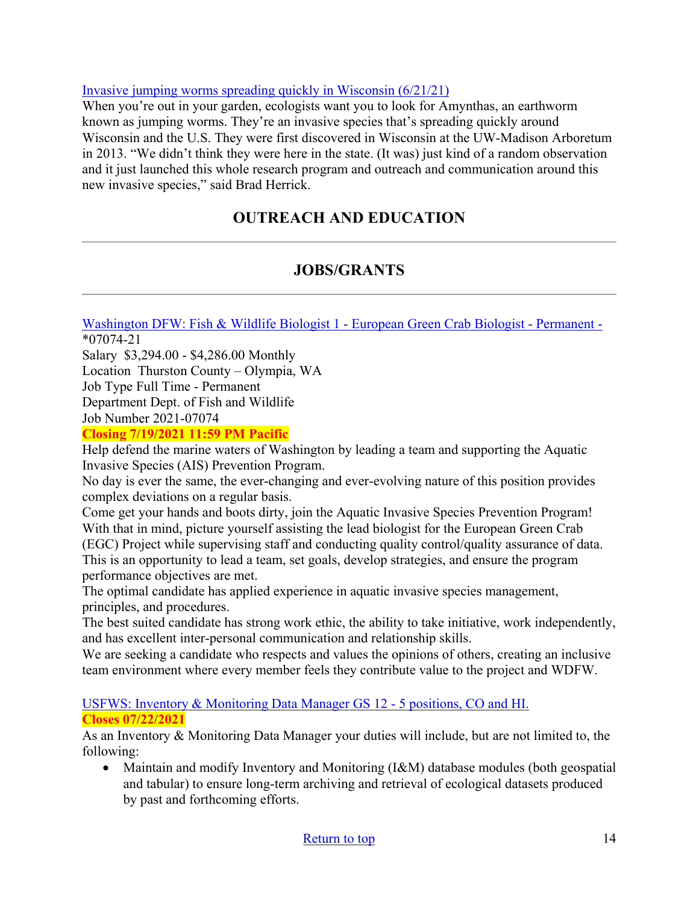### [Invasive jumping worms spreading quickly in Wisconsin \(6/21/21\)](https://www.channel3000.com/invasive-jumping-worms-spreading-quickly-in-wisconsin/)

When you're out in your garden, ecologists want you to look for Amynthas, an earthworm known as jumping worms. They're an invasive species that's spreading quickly around Wisconsin and the U.S. They were first discovered in Wisconsin at the UW-Madison Arboretum in 2013. "We didn't think they were here in the state. (It was) just kind of a random observation and it just launched this whole research program and outreach and communication around this new invasive species," said Brad Herrick.

# **OUTREACH AND EDUCATION**

## **JOBS/GRANTS**

<span id="page-13-0"></span>[Washington DFW: Fish & Wildlife Biologist 1 - European Green Crab Biologist - Permanent -](https://www.governmentjobs.com/careers/washington/jobs/3148189/fish-wildlife-biologist-1-european-green-crab-biologist-permanent-07074?keywords=07074&pagetype=jobOpportunitiesJobs) \*07074-21

Salary \$3,294.00 - \$4,286.00 Monthly Location Thurston County – Olympia, WA Job Type Full Time - Permanent Department Dept. of Fish and Wildlife Job Number 2021-07074

### **Closing 7/19/2021 11:59 PM Pacific**

Help defend the marine waters of Washington by leading a team and supporting the Aquatic Invasive Species (AIS) Prevention Program.

No day is ever the same, the ever-changing and ever-evolving nature of this position provides complex deviations on a regular basis.

Come get your hands and boots dirty, join the Aquatic Invasive Species Prevention Program! With that in mind, picture yourself assisting the lead biologist for the European Green Crab

(EGC) Project while supervising staff and conducting quality control/quality assurance of data. This is an opportunity to lead a team, set goals, develop strategies, and ensure the program performance objectives are met.

The optimal candidate has applied experience in aquatic invasive species management, principles, and procedures.

The best suited candidate has strong work ethic, the ability to take initiative, work independently, and has excellent inter-personal communication and relationship skills.

We are seeking a candidate who respects and values the opinions of others, creating an inclusive team environment where every member feels they contribute value to the project and WDFW.

### [USFWS: Inventory & Monitoring Data Manager GS 12 - 5 positions, CO and HI.](https://www.usajobs.gov/GetJob/ViewDetails/606832100)  **Closes 07/22/2021**

As an Inventory & Monitoring Data Manager your duties will include, but are not limited to, the following:

• Maintain and modify Inventory and Monitoring (I&M) database modules (both geospatial and tabular) to ensure long-term archiving and retrieval of ecological datasets produced by past and forthcoming efforts.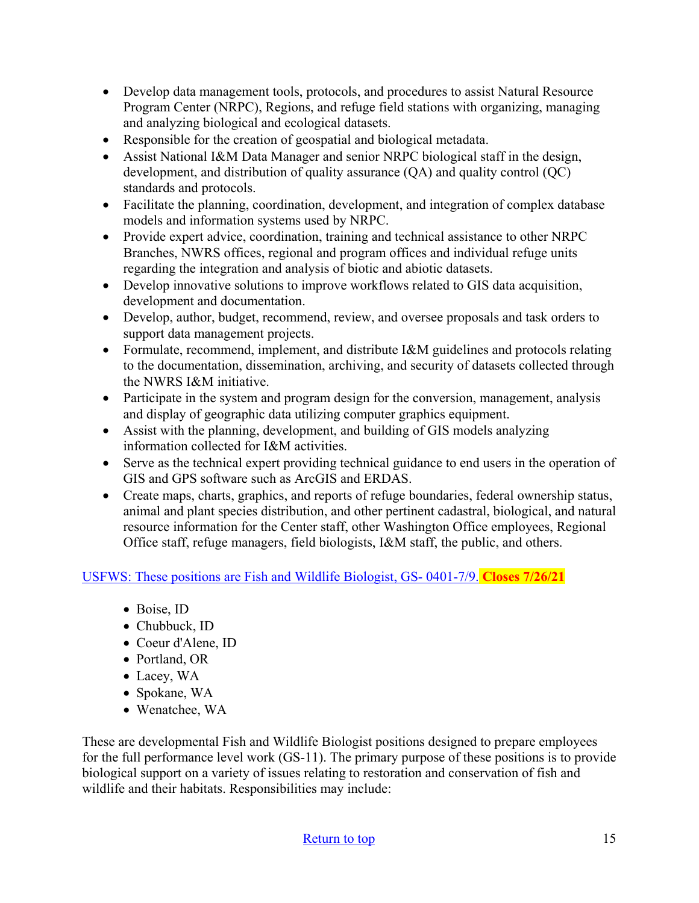- Develop data management tools, protocols, and procedures to assist Natural Resource Program Center (NRPC), Regions, and refuge field stations with organizing, managing and analyzing biological and ecological datasets.
- Responsible for the creation of geospatial and biological metadata.
- Assist National I&M Data Manager and senior NRPC biological staff in the design, development, and distribution of quality assurance (QA) and quality control (QC) standards and protocols.
- Facilitate the planning, coordination, development, and integration of complex database models and information systems used by NRPC.
- Provide expert advice, coordination, training and technical assistance to other NRPC Branches, NWRS offices, regional and program offices and individual refuge units regarding the integration and analysis of biotic and abiotic datasets.
- Develop innovative solutions to improve workflows related to GIS data acquisition, development and documentation.
- Develop, author, budget, recommend, review, and oversee proposals and task orders to support data management projects.
- Formulate, recommend, implement, and distribute I&M guidelines and protocols relating to the documentation, dissemination, archiving, and security of datasets collected through the NWRS I&M initiative.
- Participate in the system and program design for the conversion, management, analysis and display of geographic data utilizing computer graphics equipment.
- Assist with the planning, development, and building of GIS models analyzing information collected for I&M activities.
- Serve as the technical expert providing technical guidance to end users in the operation of GIS and GPS software such as ArcGIS and ERDAS.
- Create maps, charts, graphics, and reports of refuge boundaries, federal ownership status, animal and plant species distribution, and other pertinent cadastral, biological, and natural resource information for the Center staff, other Washington Office employees, Regional Office staff, refuge managers, field biologists, I&M staff, the public, and others.

[USFWS: These positions are Fish and Wildlife Biologist, GS- 0401-7/9.](https://www.usajobs.gov/GetJob/PrintPreview/607237200) **Closes 7/26/21** 

- Boise, ID
- Chubbuck, ID
- Coeur d'Alene, ID
- Portland, OR
- Lacey, WA
- Spokane, WA
- Wenatchee, WA

These are developmental Fish and Wildlife Biologist positions designed to prepare employees for the full performance level work (GS-11). The primary purpose of these positions is to provide biological support on a variety of issues relating to restoration and conservation of fish and wildlife and their habitats. Responsibilities may include:

#### [Return to top](#page-0-0) 15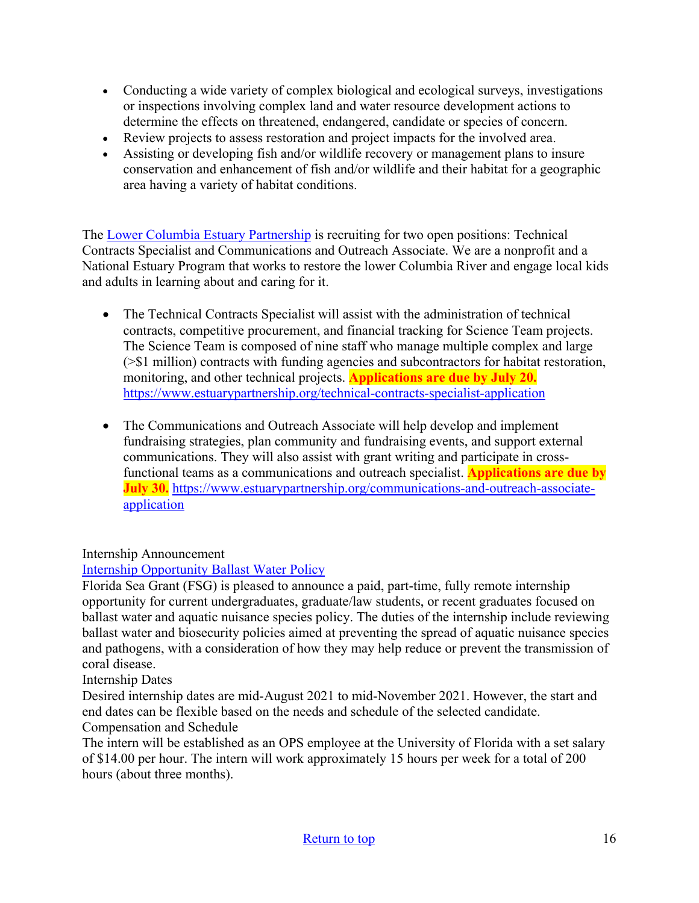- Conducting a wide variety of complex biological and ecological surveys, investigations or inspections involving complex land and water resource development actions to determine the effects on threatened, endangered, candidate or species of concern.
- Review projects to assess restoration and project impacts for the involved area.
- Assisting or developing fish and/or wildlife recovery or management plans to insure conservation and enhancement of fish and/or wildlife and their habitat for a geographic area having a variety of habitat conditions.

The [Lower Columbia Estuary Partnership](https://www.estuarypartnership.org/) is recruiting for two open positions: Technical Contracts Specialist and Communications and Outreach Associate. We are a nonprofit and a National Estuary Program that works to restore the lower Columbia River and engage local kids and adults in learning about and caring for it.

- The Technical Contracts Specialist will assist with the administration of technical contracts, competitive procurement, and financial tracking for Science Team projects. The Science Team is composed of nine staff who manage multiple complex and large (>\$1 million) contracts with funding agencies and subcontractors for habitat restoration, monitoring, and other technical projects. **Applications are due by July 20.** <https://www.estuarypartnership.org/technical-contracts-specialist-application>
- The Communications and Outreach Associate will help develop and implement fundraising strategies, plan community and fundraising events, and support external communications. They will also assist with grant writing and participate in crossfunctional teams as a communications and outreach specialist. **Applications are due by July 30.** [https://www.estuarypartnership.org/communications-and-outreach-associate](https://www.estuarypartnership.org/communications-and-outreach-associate-application)[application](https://www.estuarypartnership.org/communications-and-outreach-associate-application)

### Internship Announcement

## [Internship Opportunity Ballast Water Policy](https://www.flseagrant.org/wp-content/uploads/Florida-Sea-Grant-Ballast-Water-Policy-Intern-Position-Announcement.pdf)

Florida Sea Grant (FSG) is pleased to announce a paid, part-time, fully remote internship opportunity for current undergraduates, graduate/law students, or recent graduates focused on ballast water and aquatic nuisance species policy. The duties of the internship include reviewing ballast water and biosecurity policies aimed at preventing the spread of aquatic nuisance species and pathogens, with a consideration of how they may help reduce or prevent the transmission of coral disease.

Internship Dates

Desired internship dates are mid-August 2021 to mid-November 2021. However, the start and end dates can be flexible based on the needs and schedule of the selected candidate. Compensation and Schedule

The intern will be established as an OPS employee at the University of Florida with a set salary of \$14.00 per hour. The intern will work approximately 15 hours per week for a total of 200 hours (about three months).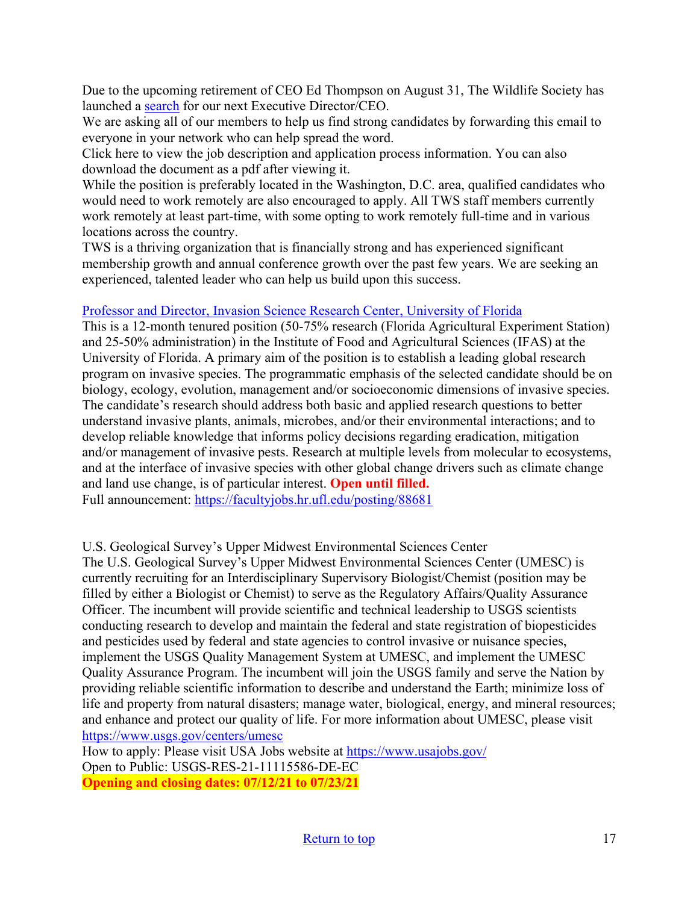Due to the upcoming retirement of CEO Ed Thompson on August 31, The Wildlife Society has launched a [search](https://wildlife.org/wp-content/uploads/2021/06/TWS_Executive-Director-position-anouncement_June2021-FINAL.pdf?utm_source=getresponse&utm_medium=email&utm_campaign=current_members_tws&utm_content=TWS%20Executive%20Director%2FCEO%20Job%20Posting%3A%20Please%20share) for our next Executive Director/CEO.

We are asking all of our members to help us find strong candidates by forwarding this email to everyone in your network who can help spread the word.

Click here to view the job description and application process information. You can also download the document as a pdf after viewing it.

While the position is preferably located in the Washington, D.C. area, qualified candidates who would need to work remotely are also encouraged to apply. All TWS staff members currently work remotely at least part-time, with some opting to work remotely full-time and in various locations across the country.

TWS is a thriving organization that is financially strong and has experienced significant membership growth and annual conference growth over the past few years. We are seeking an experienced, talented leader who can help us build upon this success.

### [Professor and Director, Invasion Science Research Center, University of Florida](https://facultyjobs.hr.ufl.edu/posting/88681)

This is a 12-month tenured position (50-75% research (Florida Agricultural Experiment Station) and 25-50% administration) in the Institute of Food and Agricultural Sciences (IFAS) at the University of Florida. A primary aim of the position is to establish a leading global research program on invasive species. The programmatic emphasis of the selected candidate should be on biology, ecology, evolution, management and/or socioeconomic dimensions of invasive species. The candidate's research should address both basic and applied research questions to better understand invasive plants, animals, microbes, and/or their environmental interactions; and to develop reliable knowledge that informs policy decisions regarding eradication, mitigation and/or management of invasive pests. Research at multiple levels from molecular to ecosystems, and at the interface of invasive species with other global change drivers such as climate change and land use change, is of particular interest. **Open until filled.**

Full announcement:<https://facultyjobs.hr.ufl.edu/posting/88681>

### U.S. Geological Survey's Upper Midwest Environmental Sciences Center

The U.S. Geological Survey's Upper Midwest Environmental Sciences Center (UMESC) is currently recruiting for an Interdisciplinary Supervisory Biologist/Chemist (position may be filled by either a Biologist or Chemist) to serve as the Regulatory Affairs/Quality Assurance Officer. The incumbent will provide scientific and technical leadership to USGS scientists conducting research to develop and maintain the federal and state registration of biopesticides and pesticides used by federal and state agencies to control invasive or nuisance species, implement the USGS Quality Management System at UMESC, and implement the UMESC Quality Assurance Program. The incumbent will join the USGS family and serve the Nation by providing reliable scientific information to describe and understand the Earth; minimize loss of life and property from natural disasters; manage water, biological, energy, and mineral resources; and enhance and protect our quality of life. For more information about UMESC, please visit <https://www.usgs.gov/centers/umesc>

How to apply: Please visit USA Jobs website at<https://www.usajobs.gov/> Open to Public: USGS-RES-21-11115586-DE-EC **Opening and closing dates: 07/12/21 to 07/23/21**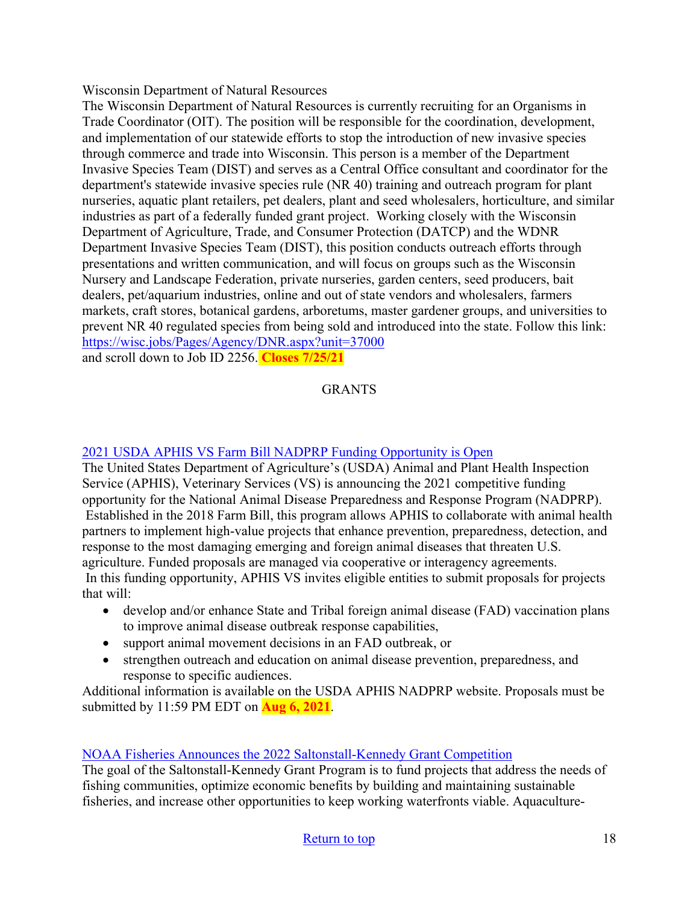Wisconsin Department of Natural Resources

The Wisconsin Department of Natural Resources is currently recruiting for an Organisms in Trade Coordinator (OIT). The position will be responsible for the coordination, development, and implementation of our statewide efforts to stop the introduction of new invasive species through commerce and trade into Wisconsin. This person is a member of the Department Invasive Species Team (DIST) and serves as a Central Office consultant and coordinator for the department's statewide invasive species rule (NR 40) training and outreach program for plant nurseries, aquatic plant retailers, pet dealers, plant and seed wholesalers, horticulture, and similar industries as part of a federally funded grant project. Working closely with the Wisconsin Department of Agriculture, Trade, and Consumer Protection (DATCP) and the WDNR Department Invasive Species Team (DIST), this position conducts outreach efforts through presentations and written communication, and will focus on groups such as the Wisconsin Nursery and Landscape Federation, private nurseries, garden centers, seed producers, bait dealers, pet/aquarium industries, online and out of state vendors and wholesalers, farmers markets, craft stores, botanical gardens, arboretums, master gardener groups, and universities to prevent NR 40 regulated species from being sold and introduced into the state. Follow this link: <https://wisc.jobs/Pages/Agency/DNR.aspx?unit=37000> and scroll down to Job ID 2256. **Closes 7/25/21**

## GRANTS

### 2021 USDA APHIS VS Farm Bill [NADPRP Funding Opportunity is Open](https://www.aphis.usda.gov/aphis/ourfocus/animalhealth/animal-disease-information/farm-bill/ad-preparedness-response-program/)

The United States Department of Agriculture's (USDA) Animal and Plant Health Inspection Service (APHIS), Veterinary Services (VS) is announcing the 2021 competitive funding opportunity for the National Animal Disease Preparedness and Response Program (NADPRP). Established in the 2018 Farm Bill, this program allows APHIS to collaborate with animal health partners to implement high-value projects that enhance prevention, preparedness, detection, and response to the most damaging emerging and foreign animal diseases that threaten U.S. agriculture. Funded proposals are managed via cooperative or interagency agreements. In this funding opportunity, APHIS VS invites eligible entities to submit proposals for projects that will:

- develop and/or enhance State and Tribal foreign animal disease (FAD) vaccination plans to improve animal disease outbreak response capabilities,
- support animal movement decisions in an FAD outbreak, or
- strengthen outreach and education on animal disease prevention, preparedness, and response to specific audiences.

Additional information is available on the USDA APHIS NADPRP website. Proposals must be submitted by 11:59 PM EDT on **Aug 6, 2021**.

### [NOAA Fisheries Announces the 2022 Saltonstall-Kennedy Grant Competition](https://www.fisheries.noaa.gov/national/funding-and-financial-services/saltonstall-kennedy-research-and-development-program?utm_medium=email&utm_source=govdelivery)

The goal of the Saltonstall-Kennedy Grant Program is to fund projects that address the needs of fishing communities, optimize economic benefits by building and maintaining sustainable fisheries, and increase other opportunities to keep working waterfronts viable. Aquaculture-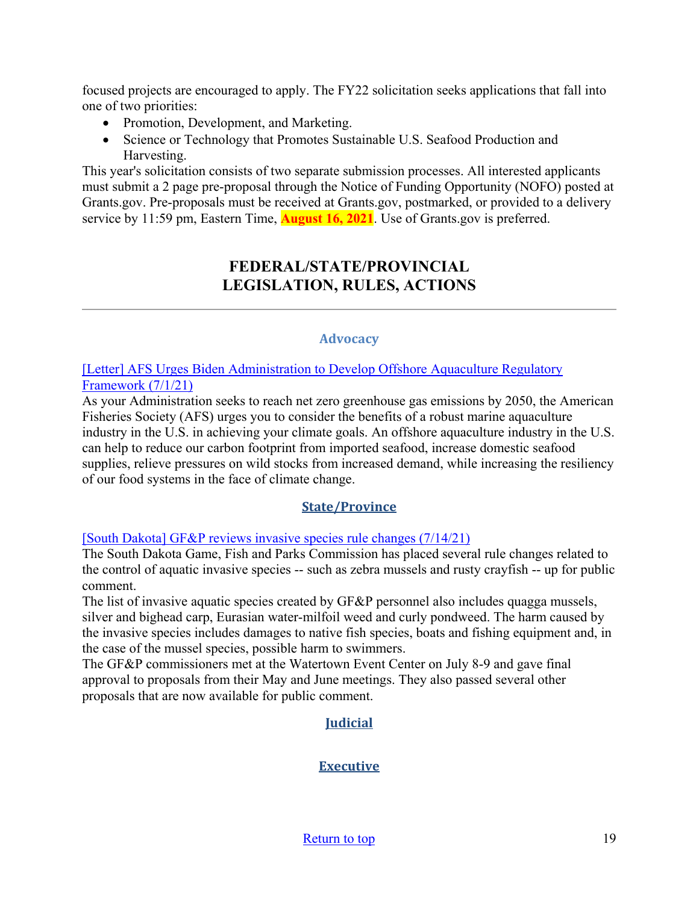focused projects are encouraged to apply. The FY22 solicitation seeks applications that fall into one of two priorities:

- Promotion, Development, and Marketing.
- Science or Technology that Promotes Sustainable U.S. Seafood Production and Harvesting.

<span id="page-18-0"></span>This year's solicitation consists of two separate submission processes. All interested applicants must submit a 2 page pre-proposal through the Notice of Funding Opportunity (NOFO) posted at Grants.gov. Pre-proposals must be received at Grants.gov, postmarked, or provided to a delivery service by 11:59 pm, Eastern Time, **August 16, 2021**. Use of Grants.gov is preferred.

## **FEDERAL/STATE/PROVINCIAL LEGISLATION, RULES, ACTIONS**

### **Advocacy**

[\[Letter\] AFS Urges Biden Administration to Develop Offshore Aquaculture Regulatory](https://fisheries.org/2021/07/afs-urges-biden-administration-to-develop-offshore-aquaculture-regulatory-framework/)  [Framework \(7/1/21\)](https://fisheries.org/2021/07/afs-urges-biden-administration-to-develop-offshore-aquaculture-regulatory-framework/)

As your Administration seeks to reach net zero greenhouse gas emissions by 2050, the American Fisheries Society (AFS) urges you to consider the benefits of a robust marine aquaculture industry in the U.S. in achieving your climate goals. An offshore aquaculture industry in the U.S. can help to reduce our carbon footprint from imported seafood, increase domestic seafood supplies, relieve pressures on wild stocks from increased demand, while increasing the resiliency of our food systems in the face of climate change.

## **State/Province**

[\[South Dakota\] GF&P reviews invasive species rule changes \(7/14/21\)](https://www.dailyleaderextra.com/news/local/article_de962cee-e4d9-11eb-860c-b71049abe70d.html)

The South Dakota Game, Fish and Parks Commission has placed several rule changes related to the control of aquatic invasive species -- such as zebra mussels and rusty crayfish -- up for public comment.

The list of invasive aquatic species created by GF&P personnel also includes quagga mussels, silver and bighead carp, Eurasian water-milfoil weed and curly pondweed. The harm caused by the invasive species includes damages to native fish species, boats and fishing equipment and, in the case of the mussel species, possible harm to swimmers.

The GF&P commissioners met at the Watertown Event Center on July 8-9 and gave final approval to proposals from their May and June meetings. They also passed several other proposals that are now available for public comment.

## **Judicial**

## **Executive**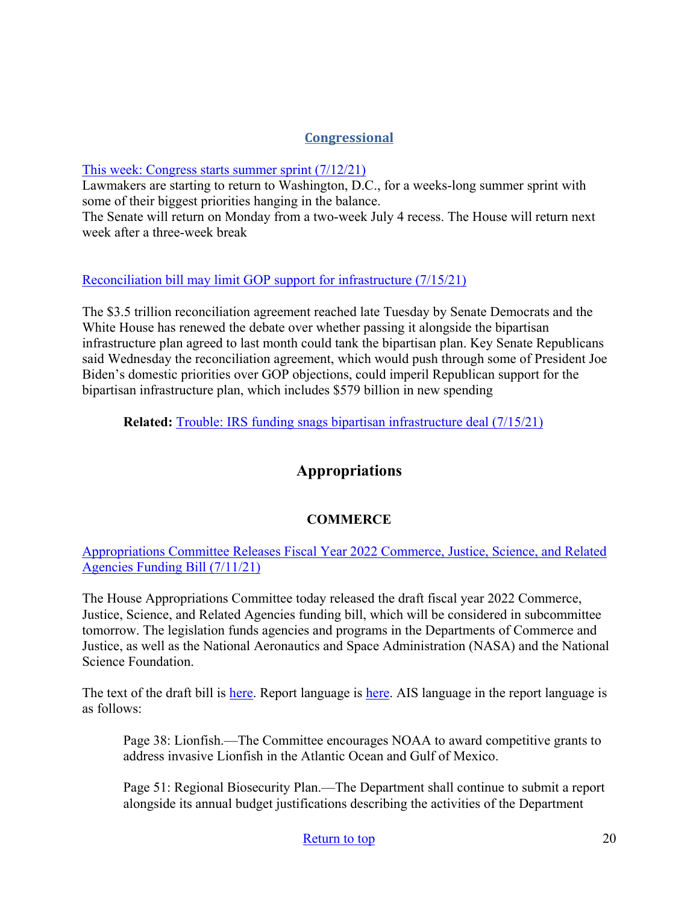## **Congressional**

### [This week: Congress starts summer sprint \(7/12/21\)](https://thehill.com/homenews/senate/562486-this-week-congress-starts-summer-sprint)

Lawmakers are starting to return to Washington, D.C., for a weeks-long summer sprint with some of their biggest priorities hanging in the balance.

The Senate will return on Monday from a two-week July 4 recess. The House will return next week after a three-week break

### [Reconciliation bill may limit GOP support for infrastructure \(7/15/21\)](https://www.rollcall.com/2021/07/15/reconciliation-bill-may-limit-gop-support-for-infrastructure/)

The \$3.5 trillion reconciliation agreement reached late Tuesday by Senate Democrats and the White House has renewed the debate over whether passing it alongside the bipartisan infrastructure plan agreed to last month could tank the bipartisan plan. Key Senate Republicans said Wednesday the reconciliation agreement, which would push through some of President Joe Biden's domestic priorities over GOP objections, could imperil Republican support for the bipartisan infrastructure plan, which includes \$579 billion in new spending

**Related:** [Trouble: IRS funding snags bipartisan infrastructure deal \(7/15/21\)](https://thehill.com/homenews/senate/563263-trouble-irs-funding-snags-bipartisan-infrastructure-deal)

## **Appropriations**

## **COMMERCE**

[Appropriations Committee Releases Fiscal Year 2022 Commerce, Justice, Science, and Related](https://appropriations.house.gov/news/press-releases/appropriations-committee-releases-fiscal-year-2022-commerce-justice-science-and)  [Agencies Funding Bill](https://appropriations.house.gov/news/press-releases/appropriations-committee-releases-fiscal-year-2022-commerce-justice-science-and) (7/11/21)

The House Appropriations Committee today released the draft fiscal year 2022 Commerce, Justice, Science, and Related Agencies funding bill, which will be considered in subcommittee tomorrow. The legislation funds agencies and programs in the Departments of Commerce and Justice, as well as the National Aeronautics and Space Administration (NASA) and the National Science Foundation.

The text of the draft bill is [here.](https://docs.house.gov/meetings/AP/AP00/20210715/113908/HRPT-117-1.pdf) Report language is here. AIS language in the report language is as follows:

Page 38: Lionfish.—The Committee encourages NOAA to award competitive grants to address invasive Lionfish in the Atlantic Ocean and Gulf of Mexico.

Page 51: Regional Biosecurity Plan.—The Department shall continue to submit a report alongside its annual budget justifications describing the activities of the Department

### [Return to top](#page-0-0) 20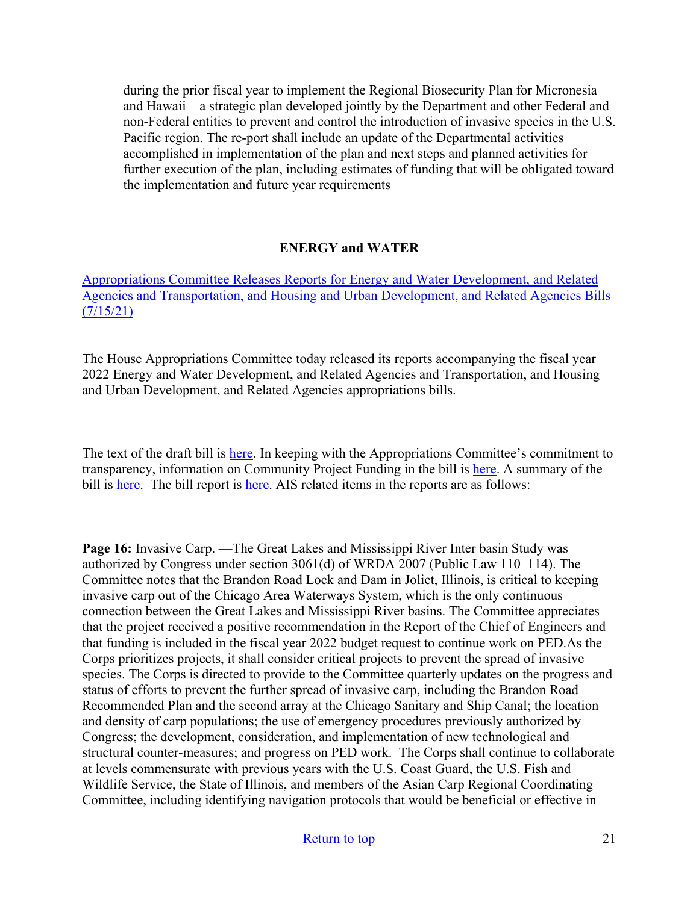during the prior fiscal year to implement the Regional Biosecurity Plan for Micronesia and Hawaii—a strategic plan developed jointly by the Department and other Federal and non-Federal entities to prevent and control the introduction of invasive species in the U.S. Pacific region. The re-port shall include an update of the Departmental activities accomplished in implementation of the plan and next steps and planned activities for further execution of the plan, including estimates of funding that will be obligated toward the implementation and future year requirements

### **ENERGY and WATER**

[Appropriations Committee Releases Reports for Energy and Water Development, and Related](https://appropriations.house.gov/news/press-releases/appropriations-committee-releases-reports-for-energy-and-water-development-and)  [Agencies and Transportation, and Housing and Urban Development, and Related Agencies Bills](https://appropriations.house.gov/news/press-releases/appropriations-committee-releases-reports-for-energy-and-water-development-and)   $(7/15/21)$ 

The House Appropriations Committee today released its reports accompanying the fiscal year 2022 Energy and Water Development, and Related Agencies and Transportation, and Housing and Urban Development, and Related Agencies appropriations bills.

The text of the draft bill is [here.](https://docs.house.gov/meetings/AP/AP00/20210716/113895/BILLS-117--AP--AP00-FY2022EW.pdf) In keeping with the Appropriations Committee's commitment to transparency, information on Community Project Funding in the bill is [here.](https://appropriations.house.gov/sites/democrats.appropriations.house.gov/files/documents/FY22%20E%26W%20Funded%20CPF.pdf) A summary of the bill is [here.](https://docs.house.gov/meetings/AP/AP00/20210716/113895/HMKP-117-AP00-20210716-SD007.pdf) The bill report is here. AIS related items in the reports are as follows:

**Page 16:** Invasive Carp. —The Great Lakes and Mississippi River Inter basin Study was authorized by Congress under section 3061(d) of WRDA 2007 (Public Law 110–114). The Committee notes that the Brandon Road Lock and Dam in Joliet, Illinois, is critical to keeping invasive carp out of the Chicago Area Waterways System, which is the only continuous connection between the Great Lakes and Mississippi River basins. The Committee appreciates that the project received a positive recommendation in the Report of the Chief of Engineers and that funding is included in the fiscal year 2022 budget request to continue work on PED.As the Corps prioritizes projects, it shall consider critical projects to prevent the spread of invasive species. The Corps is directed to provide to the Committee quarterly updates on the progress and status of efforts to prevent the further spread of invasive carp, including the Brandon Road Recommended Plan and the second array at the Chicago Sanitary and Ship Canal; the location and density of carp populations; the use of emergency procedures previously authorized by Congress; the development, consideration, and implementation of new technological and structural counter-measures; and progress on PED work. The Corps shall continue to collaborate at levels commensurate with previous years with the U.S. Coast Guard, the U.S. Fish and Wildlife Service, the State of Illinois, and members of the Asian Carp Regional Coordinating Committee, including identifying navigation protocols that would be beneficial or effective in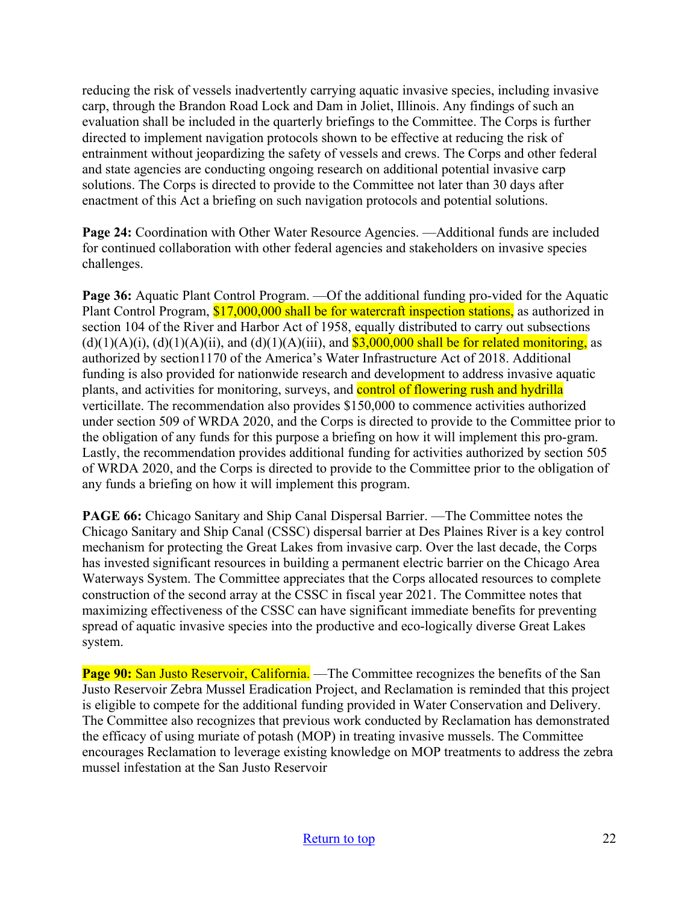reducing the risk of vessels inadvertently carrying aquatic invasive species, including invasive carp, through the Brandon Road Lock and Dam in Joliet, Illinois. Any findings of such an evaluation shall be included in the quarterly briefings to the Committee. The Corps is further directed to implement navigation protocols shown to be effective at reducing the risk of entrainment without jeopardizing the safety of vessels and crews. The Corps and other federal and state agencies are conducting ongoing research on additional potential invasive carp solutions. The Corps is directed to provide to the Committee not later than 30 days after enactment of this Act a briefing on such navigation protocols and potential solutions.

**Page 24:** Coordination with Other Water Resource Agencies. —Additional funds are included for continued collaboration with other federal agencies and stakeholders on invasive species challenges.

**Page 36:** Aquatic Plant Control Program. —Of the additional funding pro-vided for the Aquatic Plant Control Program, \$17,000,000 shall be for watercraft inspection stations, as authorized in section 104 of the River and Harbor Act of 1958, equally distributed to carry out subsections  $(d)(1)(A)(i)$ ,  $(d)(1)(A)(ii)$ , and  $(d)(1)(A)(iii)$ , and  $$3,000,000$  shall be for related monitoring, as authorized by section1170 of the America's Water Infrastructure Act of 2018. Additional funding is also provided for nationwide research and development to address invasive aquatic plants, and activities for monitoring, surveys, and control of flowering rush and hydrilla verticillate. The recommendation also provides \$150,000 to commence activities authorized under section 509 of WRDA 2020, and the Corps is directed to provide to the Committee prior to the obligation of any funds for this purpose a briefing on how it will implement this pro-gram. Lastly, the recommendation provides additional funding for activities authorized by section 505 of WRDA 2020, and the Corps is directed to provide to the Committee prior to the obligation of any funds a briefing on how it will implement this program.

**PAGE 66:** Chicago Sanitary and Ship Canal Dispersal Barrier. —The Committee notes the Chicago Sanitary and Ship Canal (CSSC) dispersal barrier at Des Plaines River is a key control mechanism for protecting the Great Lakes from invasive carp. Over the last decade, the Corps has invested significant resources in building a permanent electric barrier on the Chicago Area Waterways System. The Committee appreciates that the Corps allocated resources to complete construction of the second array at the CSSC in fiscal year 2021. The Committee notes that maximizing effectiveness of the CSSC can have significant immediate benefits for preventing spread of aquatic invasive species into the productive and eco-logically diverse Great Lakes system.

**Page 90:** San Justo Reservoir, California. — The Committee recognizes the benefits of the San Justo Reservoir Zebra Mussel Eradication Project, and Reclamation is reminded that this project is eligible to compete for the additional funding provided in Water Conservation and Delivery. The Committee also recognizes that previous work conducted by Reclamation has demonstrated the efficacy of using muriate of potash (MOP) in treating invasive mussels. The Committee encourages Reclamation to leverage existing knowledge on MOP treatments to address the zebra mussel infestation at the San Justo Reservoir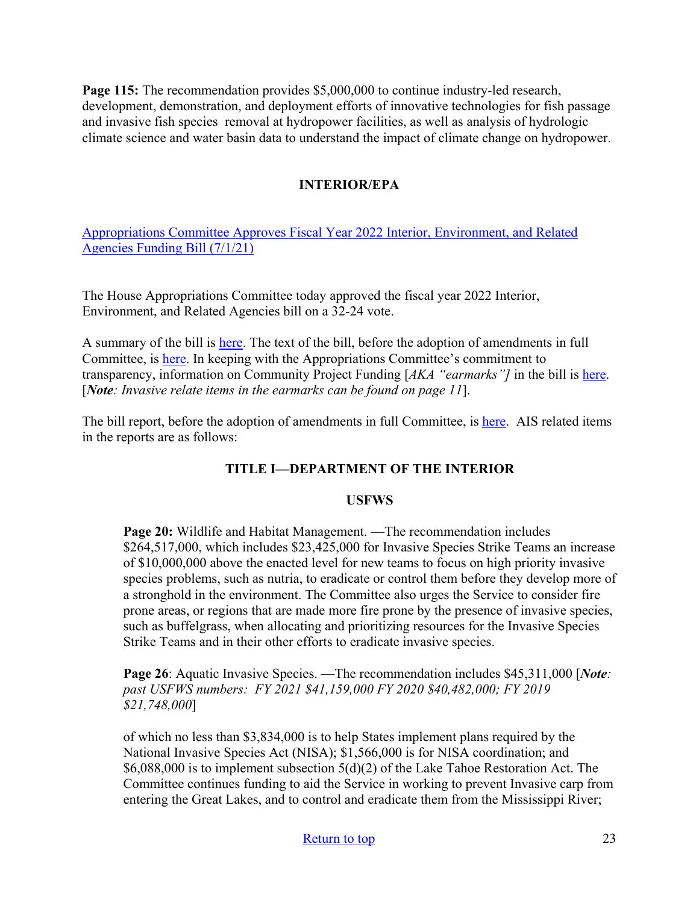**Page 115:** The recommendation provides \$5,000,000 to continue industry-led research, development, demonstration, and deployment efforts of innovative technologies for fish passage and invasive fish species removal at hydropower facilities, as well as analysis of hydrologic climate science and water basin data to understand the impact of climate change on hydropower.

## **INTERIOR/EPA**

[Appropriations Committee Approves Fiscal Year 2022 Interior, Environment, and Related](https://appropriations.house.gov/news/press-releases/appropriations-committee-approves-fiscal-year-2022-interior-environment-and-0)  [Agencies Funding Bill \(7/1/21\)](https://appropriations.house.gov/news/press-releases/appropriations-committee-approves-fiscal-year-2022-interior-environment-and-0) 

The House Appropriations Committee today approved the fiscal year 2022 Interior, Environment, and Related Agencies bill on a 32-24 vote.

A summary of the bill is [here.](https://appropriations.house.gov/news/press-releases/appropriations-committee-releases-fiscal-year-2022-interior-environment-and) The text of the bill, before the adoption of amendments in full Committee, is [here.](https://docs.house.gov/meetings/AP/AP06/20210628/112856/BILLS-117-SC-AP-FY2022-Interior-AppropsInteriorDraftBillFY2022.pdf) In keeping with the Appropriations Committee's commitment to transparency, information on Community Project Funding [*AKA "earmarks"]* in the bill is [here.](https://appropriations.house.gov/sites/democrats.appropriations.house.gov/files/documents/FY22%20Interior%20Funded%20CPF.pdf) [*Note: Invasive relate items in the earmarks can be found on page 11*].

The bill report, before the adoption of amendments in full Committee, is [here.](https://docs.house.gov/meetings/AP/AP00/20210701/112878/HMKP-117-AP00-20210701-SD002.pdf) AIS related items in the reports are as follows:

### **TITLE I—DEPARTMENT OF THE INTERIOR**

#### **USFWS**

**Page 20:** Wildlife and Habitat Management. —The recommendation includes \$264,517,000, which includes \$23,425,000 for Invasive Species Strike Teams an increase of \$10,000,000 above the enacted level for new teams to focus on high priority invasive species problems, such as nutria, to eradicate or control them before they develop more of a stronghold in the environment. The Committee also urges the Service to consider fire prone areas, or regions that are made more fire prone by the presence of invasive species, such as buffelgrass, when allocating and prioritizing resources for the Invasive Species Strike Teams and in their other efforts to eradicate invasive species.

**Page 26**: Aquatic Invasive Species. —The recommendation includes \$45,311,000 [*Note: past USFWS numbers: FY 2021 \$41,159,000 FY 2020 \$40,482,000; FY 2019 \$21,748,000*]

of which no less than \$3,834,000 is to help States implement plans required by the National Invasive Species Act (NISA); \$1,566,000 is for NISA coordination; and \$6,088,000 is to implement subsection 5(d)(2) of the Lake Tahoe Restoration Act. The Committee continues funding to aid the Service in working to prevent Invasive carp from entering the Great Lakes, and to control and eradicate them from the Mississippi River;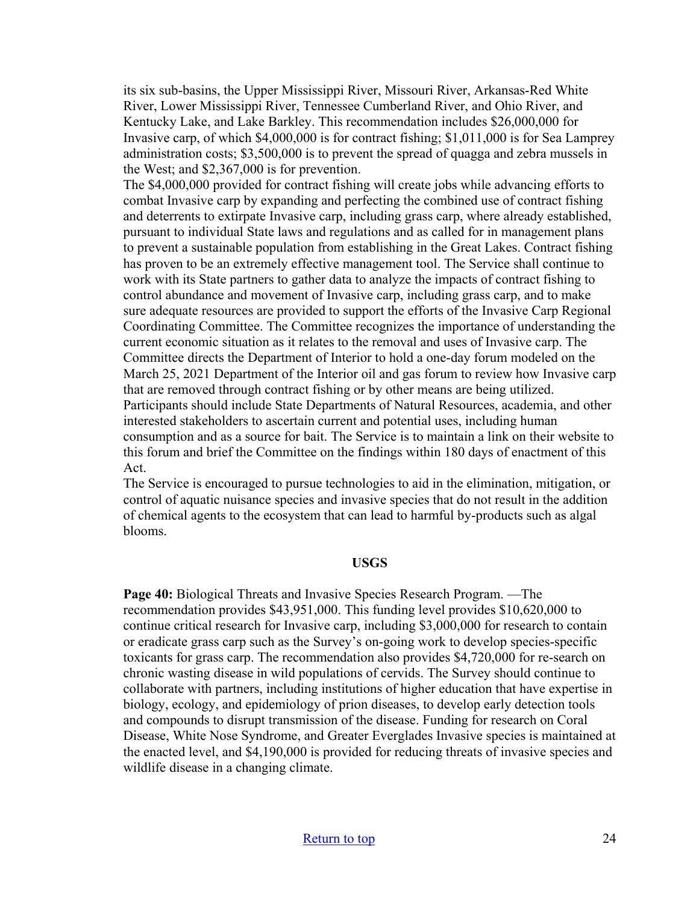its six sub-basins, the Upper Mississippi River, Missouri River, Arkansas-Red White River, Lower Mississippi River, Tennessee Cumberland River, and Ohio River, and Kentucky Lake, and Lake Barkley. This recommendation includes \$26,000,000 for Invasive carp, of which \$4,000,000 is for contract fishing; \$1,011,000 is for Sea Lamprey administration costs; \$3,500,000 is to prevent the spread of quagga and zebra mussels in the West; and \$2,367,000 is for prevention.

The \$4,000,000 provided for contract fishing will create jobs while advancing efforts to combat Invasive carp by expanding and perfecting the combined use of contract fishing and deterrents to extirpate Invasive carp, including grass carp, where already established, pursuant to individual State laws and regulations and as called for in management plans to prevent a sustainable population from establishing in the Great Lakes. Contract fishing has proven to be an extremely effective management tool. The Service shall continue to work with its State partners to gather data to analyze the impacts of contract fishing to control abundance and movement of Invasive carp, including grass carp, and to make sure adequate resources are provided to support the efforts of the Invasive Carp Regional Coordinating Committee. The Committee recognizes the importance of understanding the current economic situation as it relates to the removal and uses of Invasive carp. The Committee directs the Department of Interior to hold a one-day forum modeled on the March 25, 2021 Department of the Interior oil and gas forum to review how Invasive carp that are removed through contract fishing or by other means are being utilized. Participants should include State Departments of Natural Resources, academia, and other interested stakeholders to ascertain current and potential uses, including human consumption and as a source for bait. The Service is to maintain a link on their website to this forum and brief the Committee on the findings within 180 days of enactment of this Act.

The Service is encouraged to pursue technologies to aid in the elimination, mitigation, or control of aquatic nuisance species and invasive species that do not result in the addition of chemical agents to the ecosystem that can lead to harmful by-products such as algal blooms.

#### **USGS**

**Page 40:** Biological Threats and Invasive Species Research Program. —The recommendation provides \$43,951,000. This funding level provides \$10,620,000 to continue critical research for Invasive carp, including \$3,000,000 for research to contain or eradicate grass carp such as the Survey's on-going work to develop species-specific toxicants for grass carp. The recommendation also provides \$4,720,000 for re-search on chronic wasting disease in wild populations of cervids. The Survey should continue to collaborate with partners, including institutions of higher education that have expertise in biology, ecology, and epidemiology of prion diseases, to develop early detection tools and compounds to disrupt transmission of the disease. Funding for research on Coral Disease, White Nose Syndrome, and Greater Everglades Invasive species is maintained at the enacted level, and \$4,190,000 is provided for reducing threats of invasive species and wildlife disease in a changing climate.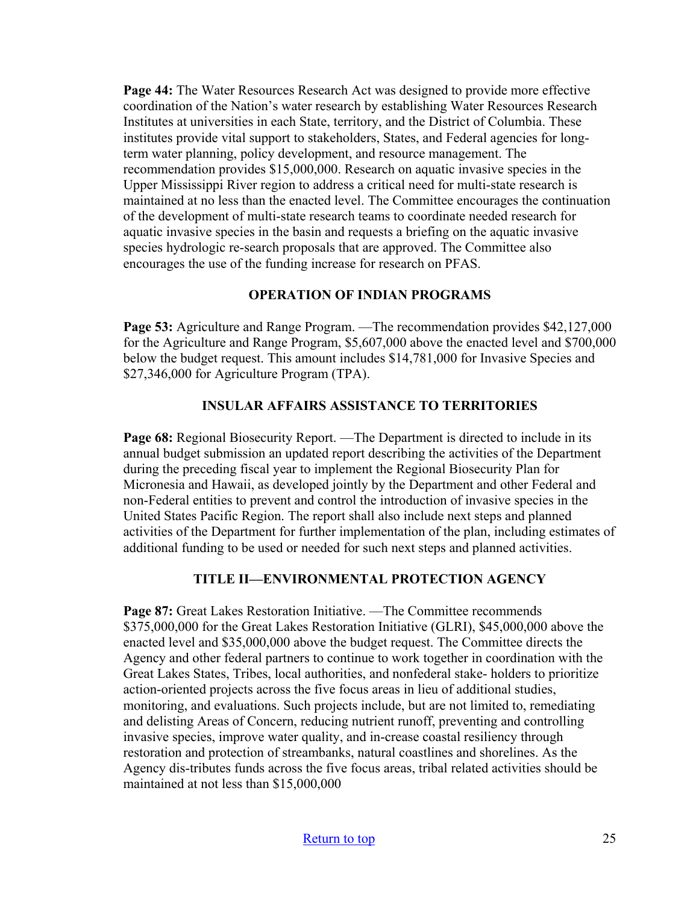**Page 44:** The Water Resources Research Act was designed to provide more effective coordination of the Nation's water research by establishing Water Resources Research Institutes at universities in each State, territory, and the District of Columbia. These institutes provide vital support to stakeholders, States, and Federal agencies for longterm water planning, policy development, and resource management. The recommendation provides \$15,000,000. Research on aquatic invasive species in the Upper Mississippi River region to address a critical need for multi-state research is maintained at no less than the enacted level. The Committee encourages the continuation of the development of multi-state research teams to coordinate needed research for aquatic invasive species in the basin and requests a briefing on the aquatic invasive species hydrologic re-search proposals that are approved. The Committee also encourages the use of the funding increase for research on PFAS.

### **OPERATION OF INDIAN PROGRAMS**

**Page 53:** Agriculture and Range Program. —The recommendation provides \$42,127,000 for the Agriculture and Range Program, \$5,607,000 above the enacted level and \$700,000 below the budget request. This amount includes \$14,781,000 for Invasive Species and \$27,346,000 for Agriculture Program (TPA).

### **INSULAR AFFAIRS ASSISTANCE TO TERRITORIES**

**Page 68:** Regional Biosecurity Report. —The Department is directed to include in its annual budget submission an updated report describing the activities of the Department during the preceding fiscal year to implement the Regional Biosecurity Plan for Micronesia and Hawaii, as developed jointly by the Department and other Federal and non-Federal entities to prevent and control the introduction of invasive species in the United States Pacific Region. The report shall also include next steps and planned activities of the Department for further implementation of the plan, including estimates of additional funding to be used or needed for such next steps and planned activities.

### **TITLE II—ENVIRONMENTAL PROTECTION AGENCY**

**Page 87:** Great Lakes Restoration Initiative. —The Committee recommends \$375,000,000 for the Great Lakes Restoration Initiative (GLRI), \$45,000,000 above the enacted level and \$35,000,000 above the budget request. The Committee directs the Agency and other federal partners to continue to work together in coordination with the Great Lakes States, Tribes, local authorities, and nonfederal stake- holders to prioritize action-oriented projects across the five focus areas in lieu of additional studies, monitoring, and evaluations. Such projects include, but are not limited to, remediating and delisting Areas of Concern, reducing nutrient runoff, preventing and controlling invasive species, improve water quality, and in-crease coastal resiliency through restoration and protection of streambanks, natural coastlines and shorelines. As the Agency dis-tributes funds across the five focus areas, tribal related activities should be maintained at not less than \$15,000,000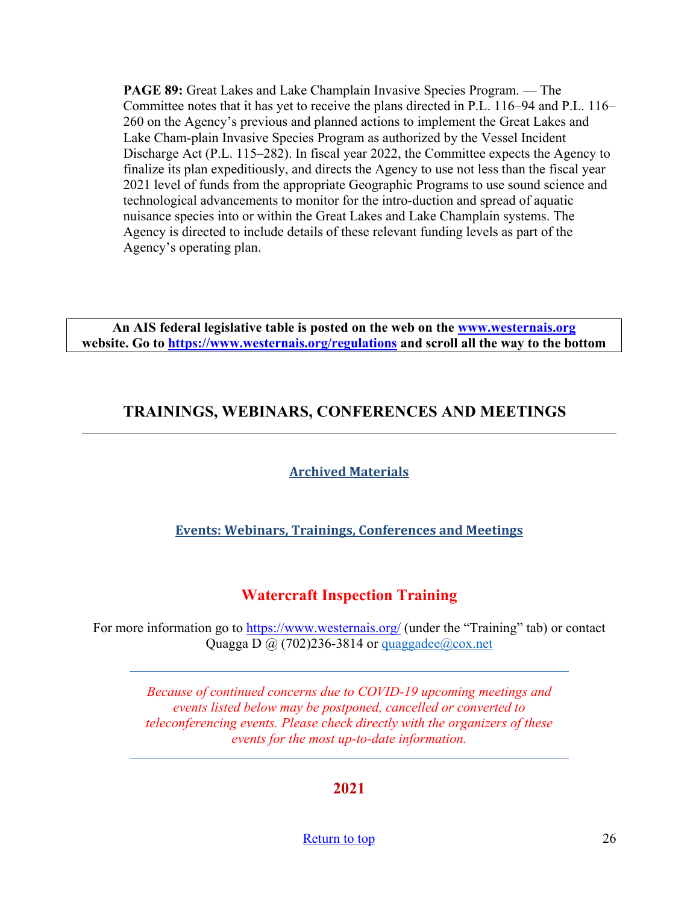**PAGE 89:** Great Lakes and Lake Champlain Invasive Species Program. — The Committee notes that it has yet to receive the plans directed in P.L. 116–94 and P.L. 116– 260 on the Agency's previous and planned actions to implement the Great Lakes and Lake Cham-plain Invasive Species Program as authorized by the Vessel Incident Discharge Act (P.L. 115–282). In fiscal year 2022, the Committee expects the Agency to finalize its plan expeditiously, and directs the Agency to use not less than the fiscal year 2021 level of funds from the appropriate Geographic Programs to use sound science and technological advancements to monitor for the intro-duction and spread of aquatic nuisance species into or within the Great Lakes and Lake Champlain systems. The Agency is directed to include details of these relevant funding levels as part of the Agency's operating plan.

**An AIS federal legislative table is posted on the web on the [www.westernais.org](http://www.westernais.org/) website. Go to<https://www.westernais.org/regulations> and scroll all the way to the bottom**

## <span id="page-25-0"></span>**TRAININGS, WEBINARS, CONFERENCES AND MEETINGS**

## **Archived Materials**

## **Events: Webinars, Trainings, Conferences and Meetings**

## **Watercraft Inspection Training**

For more information go to<https://www.westernais.org/> (under the "Training" tab) or contact Quagga D  $\omega$  (702)236-3814 or quaggadee $\omega$ cox.net

> *Because of continued concerns due to COVID-19 upcoming meetings and events listed below may be postponed, cancelled or converted to teleconferencing events. Please check directly with the organizers of these events for the most up-to-date information.*

> > **2021**

[Return to top](#page-0-0) 26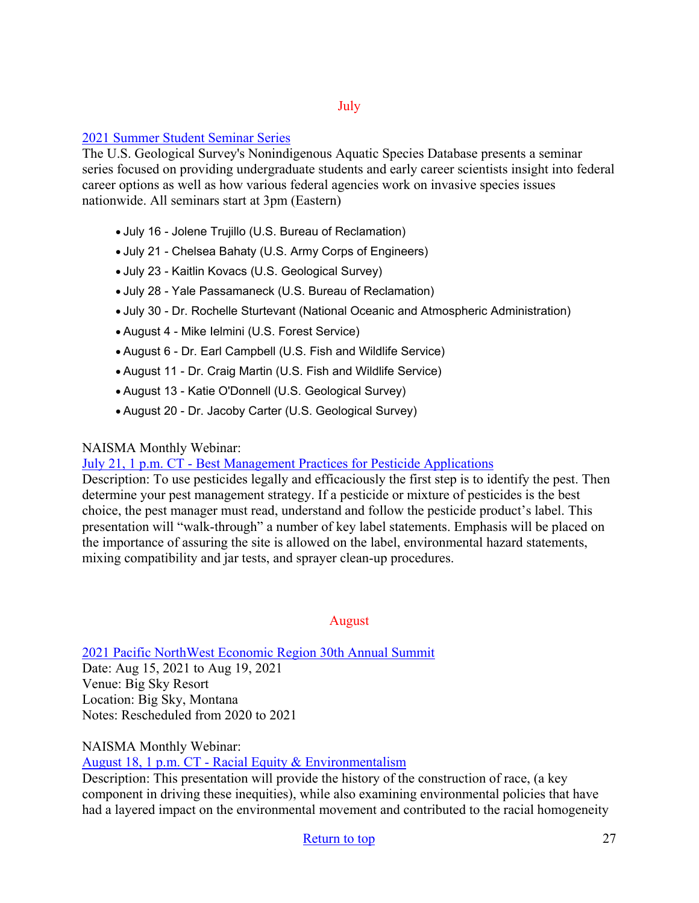### July

### [2021 Summer Student Seminar Series](https://docs.google.com/forms/d/e/1FAIpQLSd70h0q5x5J0l8_VID1RYUbvqI2loT65yyDNGiir2Sl37vJQA/viewform)

The U.S. Geological Survey's Nonindigenous Aquatic Species Database presents a seminar series focused on providing undergraduate students and early career scientists insight into federal career options as well as how various federal agencies work on invasive species issues nationwide. All seminars start at 3pm (Eastern)

- July 16 Jolene Trujillo (U.S. Bureau of Reclamation)
- July 21 Chelsea Bahaty (U.S. Army Corps of Engineers)
- July 23 Kaitlin Kovacs (U.S. Geological Survey)
- July 28 Yale Passamaneck (U.S. Bureau of Reclamation)
- July 30 Dr. Rochelle Sturtevant (National Oceanic and Atmospheric Administration)
- August 4 Mike Ielmini (U.S. Forest Service)
- August 6 Dr. Earl Campbell (U.S. Fish and Wildlife Service)
- August 11 Dr. Craig Martin (U.S. Fish and Wildlife Service)
- August 13 Katie O'Donnell (U.S. Geological Survey)
- August 20 Dr. Jacoby Carter (U.S. Geological Survey)

### NAISMA Monthly Webinar:

[July 21, 1 p.m. CT - Best Management Practices for Pesticide Applications](https://us02web.zoom.us/webinar/register/WN_bjKL3o7-Qxet-uQszyjk-Q?utm_medium=email&utm_source=govdelivery)

Description: To use pesticides legally and efficaciously the first step is to identify the pest. Then determine your pest management strategy. If a pesticide or mixture of pesticides is the best choice, the pest manager must read, understand and follow the pesticide product's label. This presentation will "walk-through" a number of key label statements. Emphasis will be placed on the importance of assuring the site is allowed on the label, environmental hazard statements, mixing compatibility and jar tests, and sprayer clean-up procedures.

August

[2021 Pacific NorthWest Economic Region 30th Annual Summit](http://www.pnwer.org/2021-summit.html) 

Date: Aug 15, 2021 to Aug 19, 2021 Venue: Big Sky Resort Location: Big Sky, Montana Notes: Rescheduled from 2020 to 2021

NAISMA Monthly Webinar: [August 18, 1 p.m. CT - Racial Equity & Environmentalism](https://us02web.zoom.us/webinar/register/WN_vfMtxvYvQUeVVN5R-mgWdA?utm_medium=email&utm_source=govdelivery)

Description: This presentation will provide the history of the construction of race, (a key component in driving these inequities), while also examining environmental policies that have had a layered impact on the environmental movement and contributed to the racial homogeneity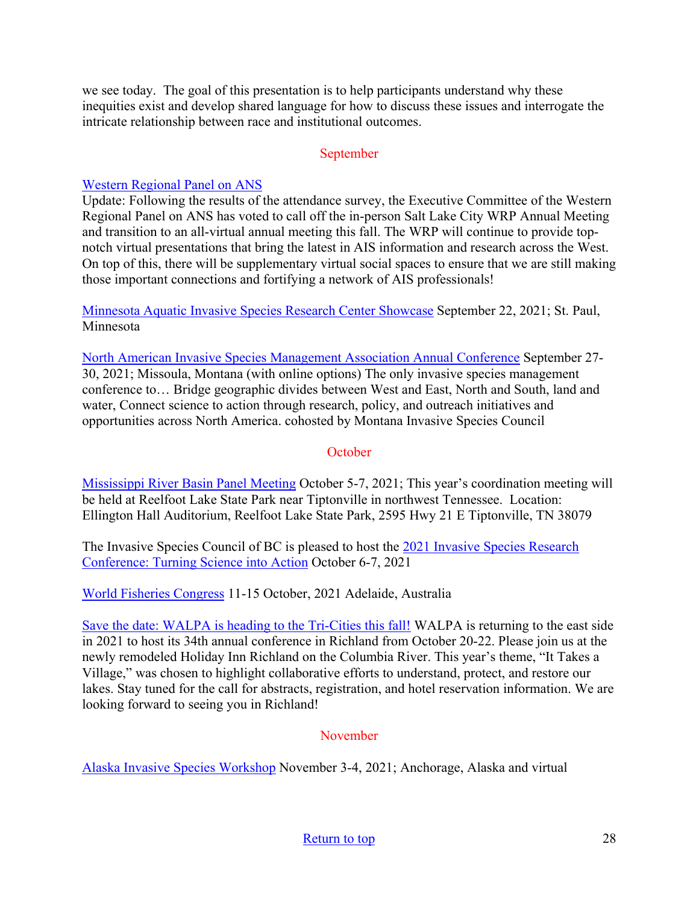we see today. The goal of this presentation is to help participants understand why these inequities exist and develop shared language for how to discuss these issues and interrogate the intricate relationship between race and institutional outcomes.

### September

### [Western Regional Panel on ANS](https://westernregionalpanel.org/)

Update: Following the results of the attendance survey, the Executive Committee of the Western Regional Panel on ANS has voted to call off the in-person Salt Lake City WRP Annual Meeting and transition to an all-virtual annual meeting this fall. The WRP will continue to provide topnotch virtual presentations that bring the latest in AIS information and research across the West. On top of this, there will be supplementary virtual social spaces to ensure that we are still making those important connections and fortifying a network of AIS professionals!

[Minnesota Aquatic Invasive Species Research Center Showcase](https://www.maisrc.umn.edu/?utm_medium=email&utm_source=govdelivery) September 22, 2021; St. Paul, Minnesota

[North American Invasive Species Management Association Annual Conference](https://naisma.org/conferences/?utm_medium=email&utm_source=govdelivery) September 27- 30, 2021; Missoula, Montana (with online options) The only invasive species management conference to… Bridge geographic divides between West and East, North and South, land and water, Connect science to action through research, policy, and outreach initiatives and opportunities across North America. cohosted by Montana Invasive Species Council

### **October**

[Mississippi River Basin Panel Meeting](http://mrbp.org/meetings?utm_medium=email&utm_source=govdelivery) October 5-7, 2021; This year's coordination meeting will be held at Reelfoot Lake State Park near Tiptonville in northwest Tennessee. Location: Ellington Hall Auditorium, Reelfoot Lake State Park, 2595 Hwy 21 E Tiptonville, TN 38079

The Invasive Species Council of BC is pleased to host the [2021 Invasive Species Research](https://bcinvasives.ca/resources/professional-events/2021-invasive-species-research-conference-turning-science-into-action/)  [Conference: Turning Science into Action](https://bcinvasives.ca/resources/professional-events/2021-invasive-species-research-conference-turning-science-into-action/) October 6-7, 2021

[World Fisheries Congress](https://wfc2020.com.au/) 11-15 October, 2021 Adelaide, Australia

[Save the date: WALPA is heading to the Tri-Cities this fall!](https://www.walpa.org/waterline/march-2021/save-the-date-walpa-is-heading-to-the-tri-cities-this-fall/) WALPA is returning to the east side in 2021 to host its 34th annual conference in Richland from October 20-22. Please join us at the newly remodeled Holiday Inn Richland on the Columbia River. This year's theme, "It Takes a Village," was chosen to highlight collaborative efforts to understand, protect, and restore our lakes. Stay tuned for the call for abstracts, registration, and hotel reservation information. We are looking forward to seeing you in Richland!

### November

[Alaska Invasive Species Workshop](https://uaf.edu/ces/invasives/conference/?utm_medium=email&utm_source=govdelivery) November 3-4, 2021; Anchorage, Alaska and virtual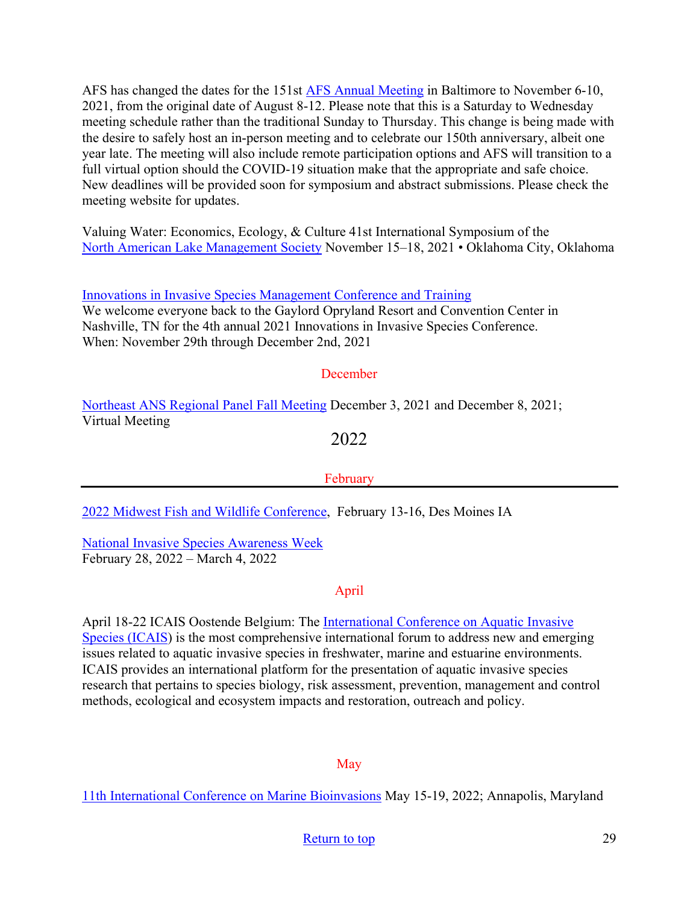AFS has changed the dates for the 151st [AFS Annual Meeting](https://fisheries.org/) in Baltimore to November 6-10, 2021, from the original date of August 8-12. Please note that this is a Saturday to Wednesday meeting schedule rather than the traditional Sunday to Thursday. This change is being made with the desire to safely host an in-person meeting and to celebrate our 150th anniversary, albeit one year late. The meeting will also include remote participation options and AFS will transition to a full virtual option should the COVID-19 situation make that the appropriate and safe choice. New deadlines will be provided soon for symposium and abstract submissions. Please check the meeting website for updates.

Valuing Water: Economics, Ecology, & Culture 41st International Symposium of the [North American Lake Management Society](https://www.nalms.org/) November 15–18, 2021 • Oklahoma City, Oklahoma

[Innovations in Invasive Species Management Conference and Training](https://www.invasiveplantcontrol.com/conference21/)

We welcome everyone back to the Gaylord Opryland Resort and Convention Center in Nashville, TN for the 4th annual 2021 Innovations in Invasive Species Conference. When: November 29th through December 2nd, 2021

### **December**

[Northeast ANS Regional Panel Fall Meeting](https://www.northeastans.org/index.php/home/meetings-and-panel-information/?utm_medium=email&utm_source=govdelivery) December 3, 2021 and December 8, 2021; Virtual Meeting

## 2022

### February

[2022 Midwest Fish and Wildlife Conference,](http://www.midwestfw.org/html/call-for-symposia.shtml) February 13-16, Des Moines IA

[National Invasive Species Awareness Week](https://www.nisaw.org/?utm_medium=email&utm_source=govdelivery) February 28, 2022 – March 4, 2022

### April

April 18-22 ICAIS Oostende Belgium: The [International Conference on Aquatic Invasive](http://www.icais.org/)  [Species \(ICAIS\)](http://www.icais.org/) is the most comprehensive international forum to address new and emerging issues related to aquatic invasive species in freshwater, marine and estuarine environments. ICAIS provides an international platform for the presentation of aquatic invasive species research that pertains to species biology, risk assessment, prevention, management and control methods, ecological and ecosystem impacts and restoration, outreach and policy.

### May

[11th International Conference on Marine Bioinvasions](https://www.marinebioinvasions.info/?utm_medium=email&utm_source=govdelivery#:%7E:text=The%20Society%20for%20the%20Study,between%2015%2D19%20May%202022.) May 15-19, 2022; Annapolis, Maryland

## [Return to top](#page-0-0) 29